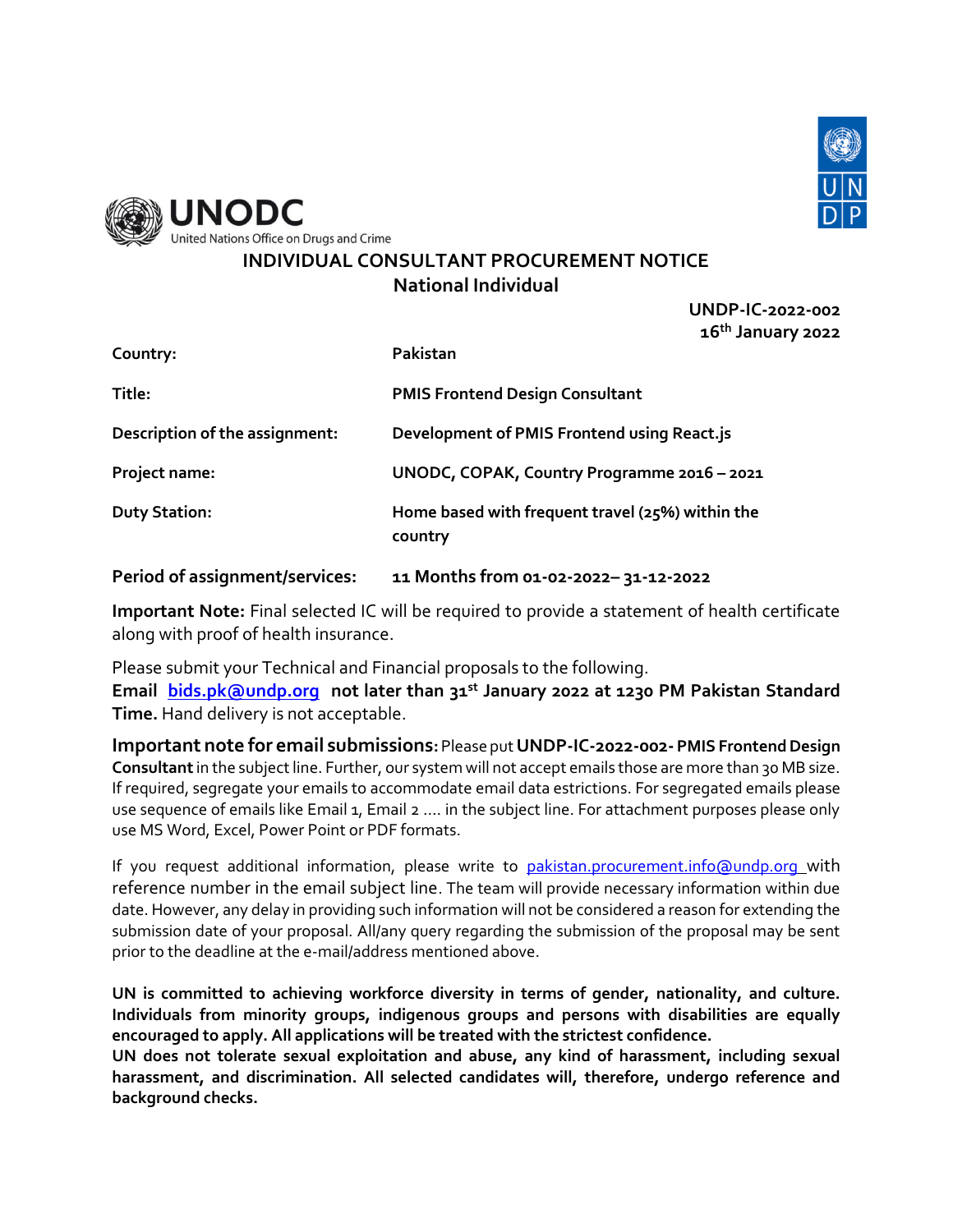



# **INDIVIDUAL CONSULTANT PROCUREMENT NOTICE National Individual**

**UNDP-IC-2022-002 16th January 2022**

| Country:                       | Pakistan                                                    |
|--------------------------------|-------------------------------------------------------------|
| Title:                         | <b>PMIS Frontend Design Consultant</b>                      |
| Description of the assignment: | Development of PMIS Frontend using React.js                 |
| Project name:                  | UNODC, COPAK, Country Programme 2016 - 2021                 |
| <b>Duty Station:</b>           | Home based with frequent travel (25%) within the<br>country |

**Period of assignment/services: 11 Months from 01-02-2022– 31-12-2022**

**Important Note:** Final selected IC will be required to provide a statement of health certificate along with proof of health insurance.

Please submit your Technical and Financial proposals to the following. **Email [bids.pk@undp.org](mailto:bids.pk@undp.org) not later than 31st January 2022 at 1230 PM Pakistan Standard Time.** Hand delivery is not acceptable.

**Important note for email submissions:** Please put **UNDP-IC-2022-002-PMIS FrontendDesign Consultant**in the subject line. Further, our system will not accept emails those are more than 30 MB size. If required, segregate your emails to accommodate email data estrictions. For segregated emails please use sequence of emails like Email 1, Email 2 .... in the subject line. For attachment purposes please only use MS Word, Excel, Power Point or PDF formats.

If you request additional information, please write to [pakistan.procurement.info@undp.org](mailto:pakistan.procurement.info@undp.org) with reference number in the email subject line. The team will provide necessary information within due date. However, any delay in providing such information will not be considered a reason for extending the submission date of your proposal. All/any query regarding the submission of the proposal may be sent prior to the deadline at the e-mail/address mentioned above.

**UN is committed to achieving workforce diversity in terms of gender, nationality, and culture. Individuals from minority groups, indigenous groups and persons with disabilities are equally encouraged to apply. All applications will be treated with the strictest confidence.** 

**UN does not tolerate sexual exploitation and abuse, any kind of harassment, including sexual harassment, and discrimination. All selected candidates will, therefore, undergo reference and background checks.**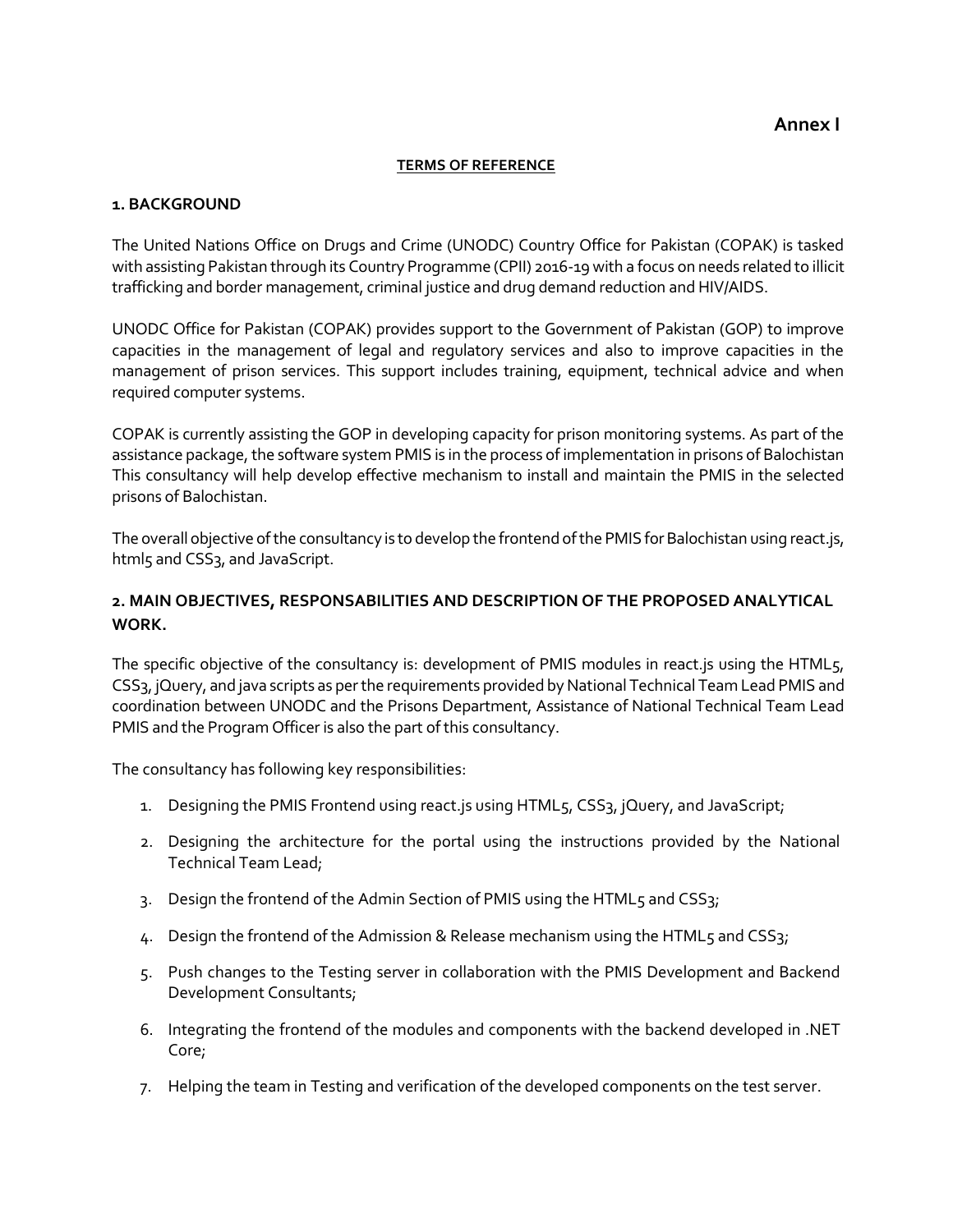#### **TERMS OF REFERENCE**

#### **1. BACKGROUND**

The United Nations Office on Drugs and Crime (UNODC) Country Office for Pakistan (COPAK) is tasked with assisting Pakistan through its Country Programme (CPII) 2016-19 with a focus on needs related to illicit trafficking and border management, criminal justice and drug demand reduction and HIV/AIDS.

UNODC Office for Pakistan (COPAK) provides support to the Government of Pakistan (GOP) to improve capacities in the management of legal and regulatory services and also to improve capacities in the management of prison services. This support includes training, equipment, technical advice and when required computer systems.

COPAK is currently assisting the GOP in developing capacity for prison monitoring systems. As part of the assistance package, the software system PMIS is in the process of implementation in prisons of Balochistan This consultancy will help develop effective mechanism to install and maintain the PMIS in the selected prisons of Balochistan.

The overall objective of the consultancy is to develop the frontend of the PMIS for Balochistan using react.js, html5 and CSS<sub>3</sub>, and JavaScript.

### **2. MAIN OBJECTIVES, RESPONSABILITIES AND DESCRIPTION OF THE PROPOSED ANALYTICAL WORK.**

The specific objective of the consultancy is: development of PMIS modules in react.js using the HTML5, CSS3, jQuery, and java scripts as per the requirements provided by National Technical Team Lead PMIS and coordination between UNODC and the Prisons Department, Assistance of National Technical Team Lead PMIS and the Program Officer is also the part of this consultancy.

The consultancy has following key responsibilities:

- 1. Designing the PMIS Frontend using react. is using HTML5, CSS3, jQuery, and JavaScript;
- 2. Designing the architecture for the portal using the instructions provided by the National Technical Team Lead;
- 3. Design the frontend of the Admin Section of PMIS using the HTML5 and CSS3;
- 4. Design the frontend of the Admission & Release mechanism using the HTML5 and CSS3;
- 5. Push changes to the Testing server in collaboration with the PMIS Development and Backend Development Consultants;
- 6. Integrating the frontend of the modules and components with the backend developed in .NET Core;
- 7. Helping the team in Testing and verification of the developed components on the test server.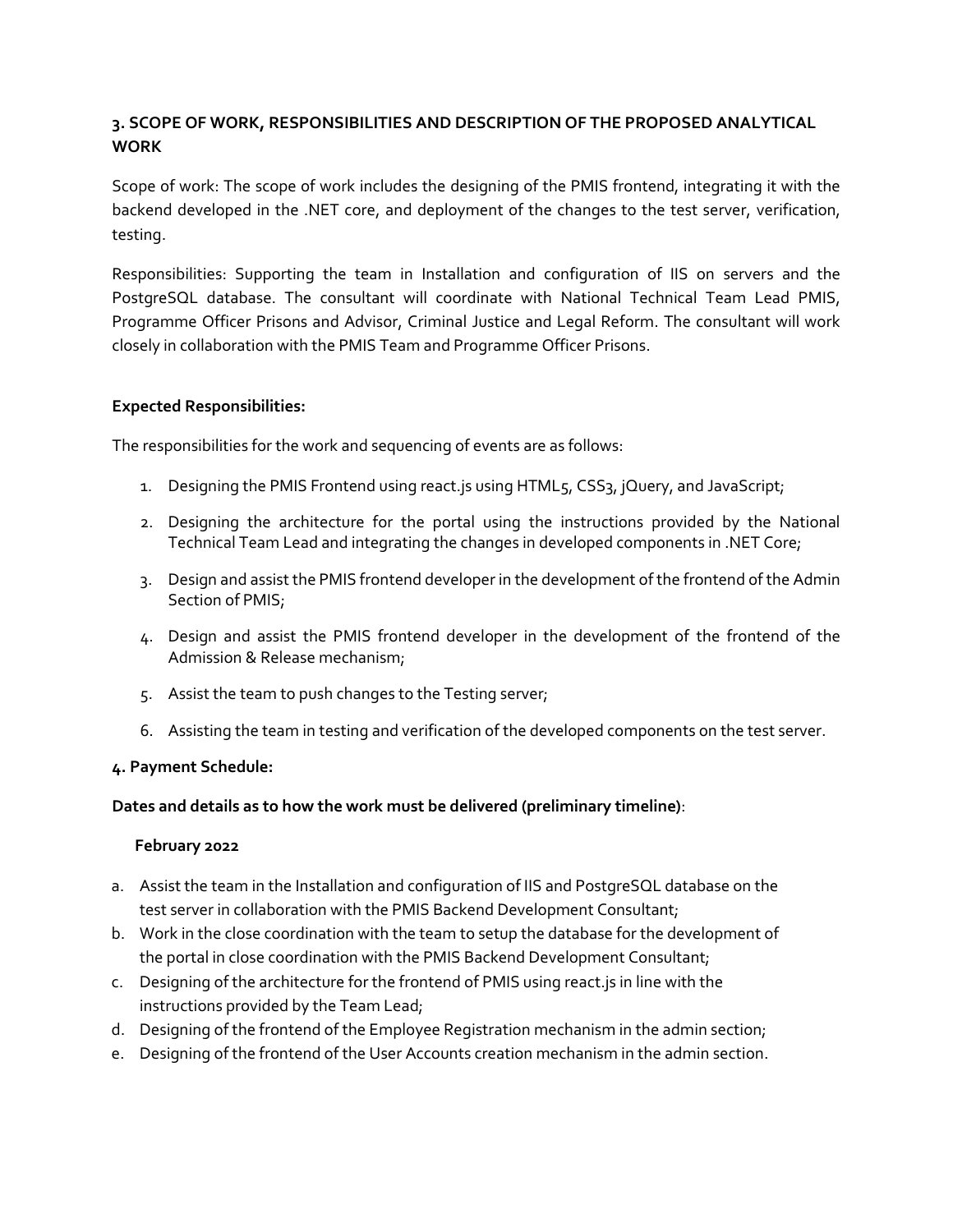## **3. SCOPE OF WORK, RESPONSIBILITIES AND DESCRIPTION OF THE PROPOSED ANALYTICAL WORK**

Scope of work: The scope of work includes the designing of the PMIS frontend, integrating it with the backend developed in the .NET core, and deployment of the changes to the test server, verification, testing.

Responsibilities: Supporting the team in Installation and configuration of IIS on servers and the PostgreSQL database. The consultant will coordinate with National Technical Team Lead PMIS, Programme Officer Prisons and Advisor, Criminal Justice and Legal Reform. The consultant will work closely in collaboration with the PMIS Team and Programme Officer Prisons.

#### **Expected Responsibilities:**

The responsibilities for the work and sequencing of events are as follows:

- 1. Designing the PMIS Frontend using react.js using HTML5, CSS3, jQuery, and JavaScript;
- 2. Designing the architecture for the portal using the instructions provided by the National Technical Team Lead and integrating the changes in developed components in .NET Core;
- 3. Design and assist the PMIS frontend developer in the development of the frontend of the Admin Section of PMIS;
- 4. Design and assist the PMIS frontend developer in the development of the frontend of the Admission & Release mechanism;
- 5. Assist the team to push changes to the Testing server;
- 6. Assisting the team in testing and verification of the developed components on the test server.

#### **4. Payment Schedule:**

#### **Dates and details as to how the work must be delivered (preliminary timeline)**:

#### **February 2022**

- a. Assist the team in the Installation and configuration of IIS and PostgreSQL database on the test server in collaboration with the PMIS Backend Development Consultant;
- b. Work in the close coordination with the team to setup the database for the development of the portal in close coordination with the PMIS Backend Development Consultant;
- c. Designing of the architecture for the frontend of PMIS using react.js in line with the instructions provided by the Team Lead;
- d. Designing of the frontend of the Employee Registration mechanism in the admin section;
- e. Designing of the frontend of the User Accounts creation mechanism in the admin section.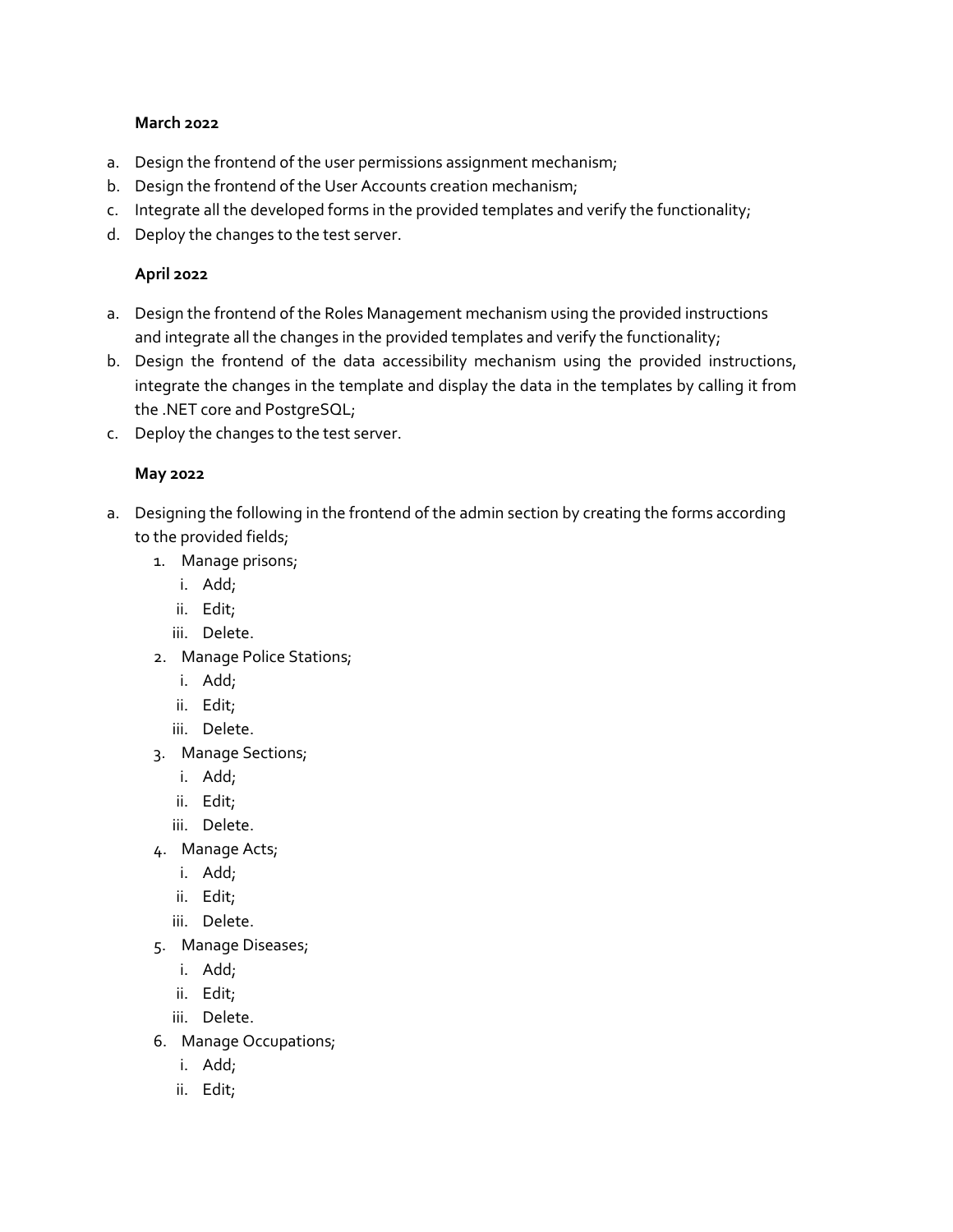#### **March 2022**

- a. Design the frontend of the user permissions assignment mechanism;
- b. Design the frontend of the User Accounts creation mechanism;
- c. Integrate all the developed forms in the provided templates and verify the functionality;
- d. Deploy the changes to the test server.

### **April 2022**

- a. Design the frontend of the Roles Management mechanism using the provided instructions and integrate all the changes in the provided templates and verify the functionality;
- b. Design the frontend of the data accessibility mechanism using the provided instructions, integrate the changes in the template and display the data in the templates by calling it from the .NET core and PostgreSQL;
- c. Deploy the changes to the test server.

### **May 2022**

- a. Designing the following in the frontend of the admin section by creating the forms according to the provided fields;
	- 1. Manage prisons;
		- i. Add;
		- ii. Edit;
		- iii. Delete.
	- 2. Manage Police Stations;
		- i. Add;
		- ii. Edit;
		- iii. Delete.
	- 3. Manage Sections;
		- i. Add;
		- ii. Edit;
		- iii. Delete.
	- 4. Manage Acts;
		- i. Add;
		- ii. Edit;
		- iii. Delete.
	- 5. Manage Diseases;
		- i. Add;
		- ii. Edit;
		- iii. Delete.
	- 6. Manage Occupations;
		- i. Add;
		- ii. Edit;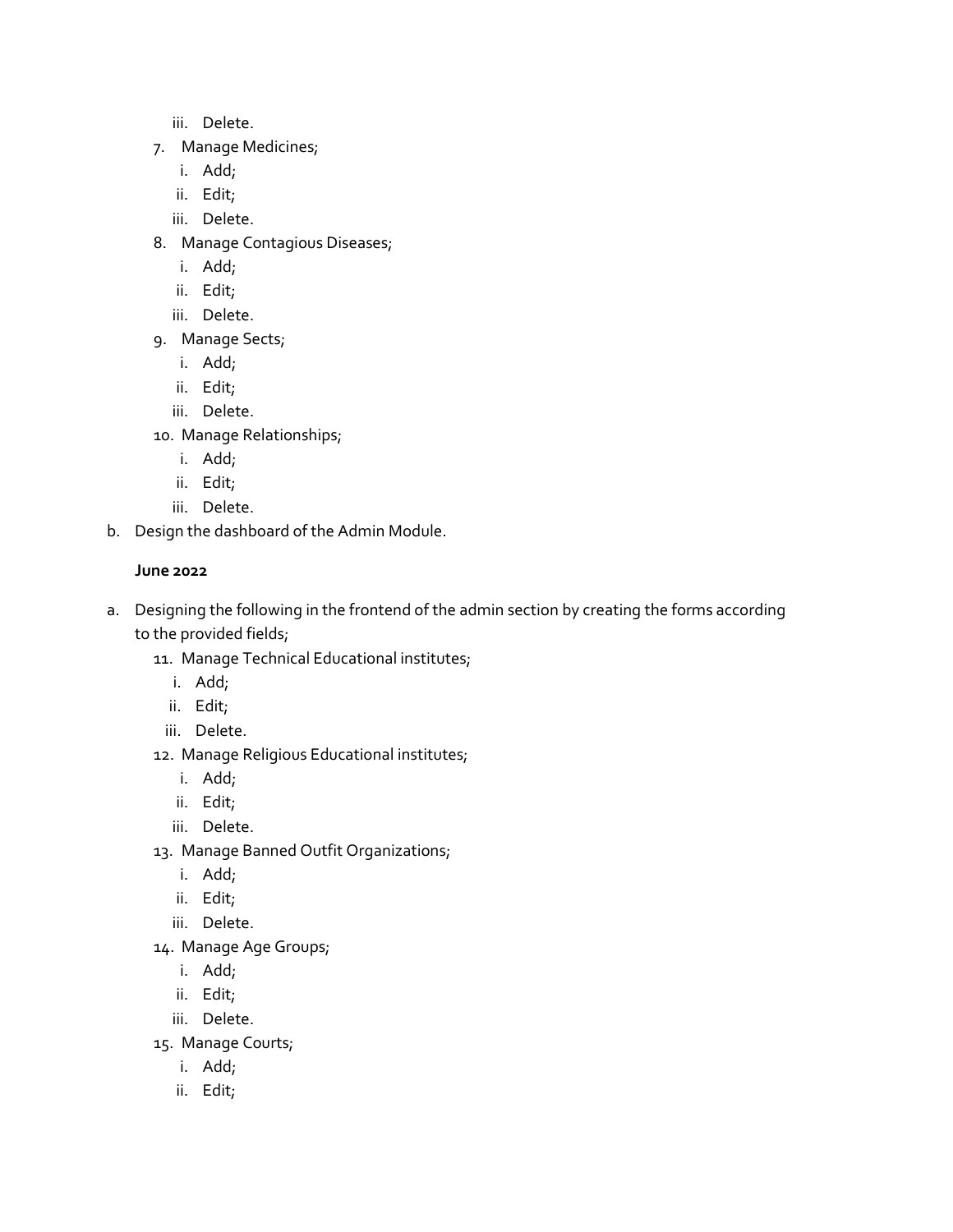- iii. Delete.
- 7. Manage Medicines;
	- i. Add;
	- ii. Edit;
	- iii. Delete.
- 8. Manage Contagious Diseases;
	- i. Add;
	- ii. Edit;
	- iii. Delete.
- 9. Manage Sects;
	- i. Add;
	- ii. Edit;
	- iii. Delete.
- 10. Manage Relationships;
	- i. Add;
	- ii. Edit;
	- iii. Delete.
- b. Design the dashboard of the Admin Module.

## **June 2022**

- a. Designing the following in the frontend of the admin section by creating the forms according to the provided fields;
	- 11. Manage Technical Educational institutes;
		- i. Add;
		- ii. Edit;
		- iii. Delete.
	- 12. Manage Religious Educational institutes;
		- i. Add;
		- ii. Edit;
		- iii. Delete.
	- 13. Manage Banned Outfit Organizations;
		- i. Add;
		- ii. Edit;
		- iii. Delete.
	- 14. Manage Age Groups;
		- i. Add;
		- ii. Edit;
		- iii. Delete.
	- 15. Manage Courts;
		- i. Add;
		- ii. Edit;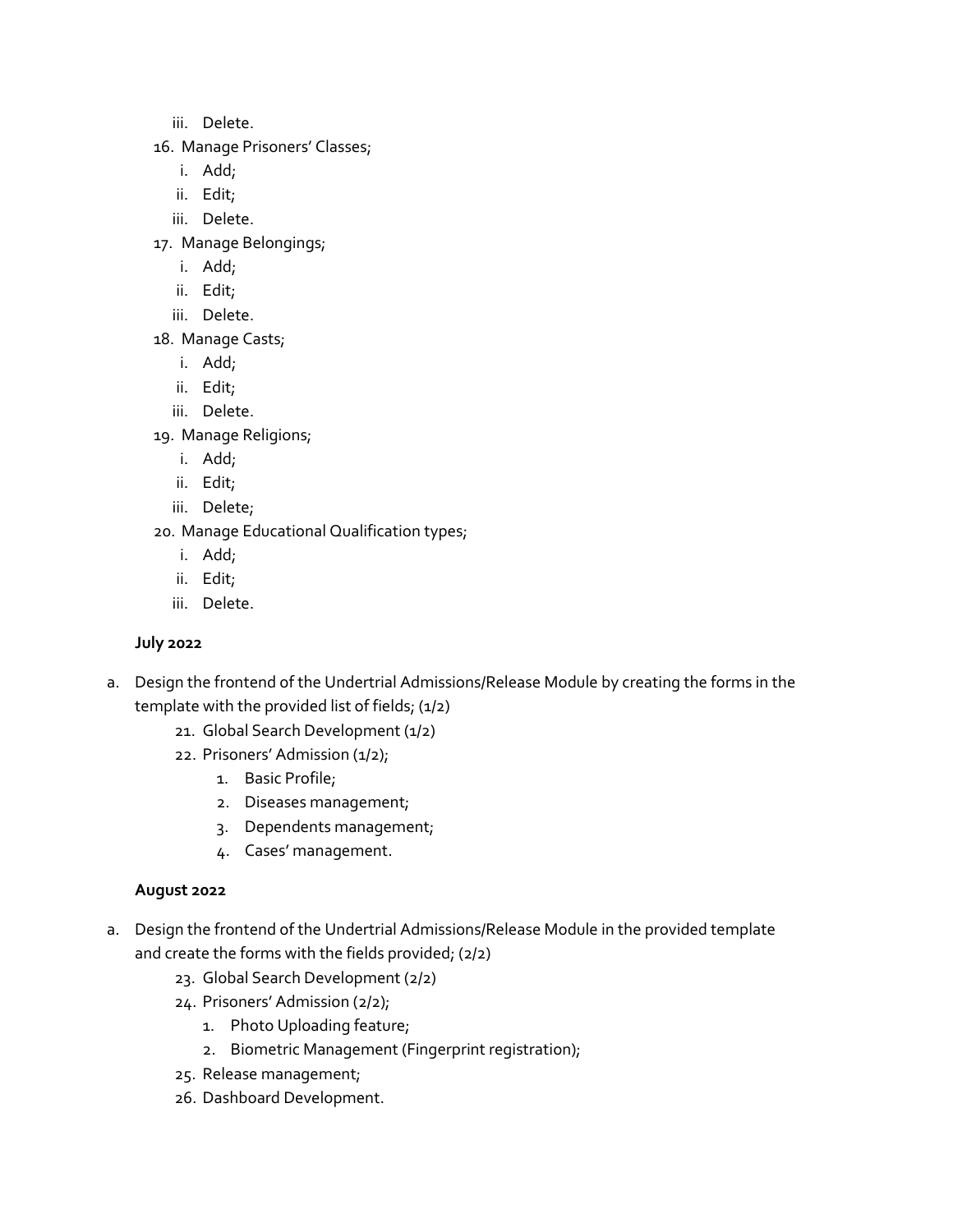- iii. Delete.
- 16. Manage Prisoners' Classes;
	- i. Add;
	- ii. Edit;
	- iii. Delete.
- 17. Manage Belongings;
	- i. Add;
	- ii. Edit;
	- iii. Delete.
- 18. Manage Casts;
	- i. Add;
	- ii. Edit;
	- iii. Delete.
- 19. Manage Religions;
	- i. Add;
	- ii. Edit;
	- iii. Delete;
- 20. Manage Educational Qualification types;
	- i. Add;
	- ii. Edit;
	- iii. Delete.

## **July 2022**

- a. Design the frontend of the Undertrial Admissions/Release Module by creating the forms in the template with the provided list of fields; (1/2)
	- 21. Global Search Development (1/2)
	- 22. Prisoners' Admission (1/2);
		- 1. Basic Profile;
		- 2. Diseases management;
		- 3. Dependents management;
		- 4. Cases' management.

## **August 2022**

- a. Design the frontend of the Undertrial Admissions/Release Module in the provided template and create the forms with the fields provided; (2/2)
	- 23. Global Search Development (2/2)
	- 24. Prisoners' Admission (2/2);
		- 1. Photo Uploading feature;
		- 2. Biometric Management (Fingerprint registration);
	- 25. Release management;
	- 26. Dashboard Development.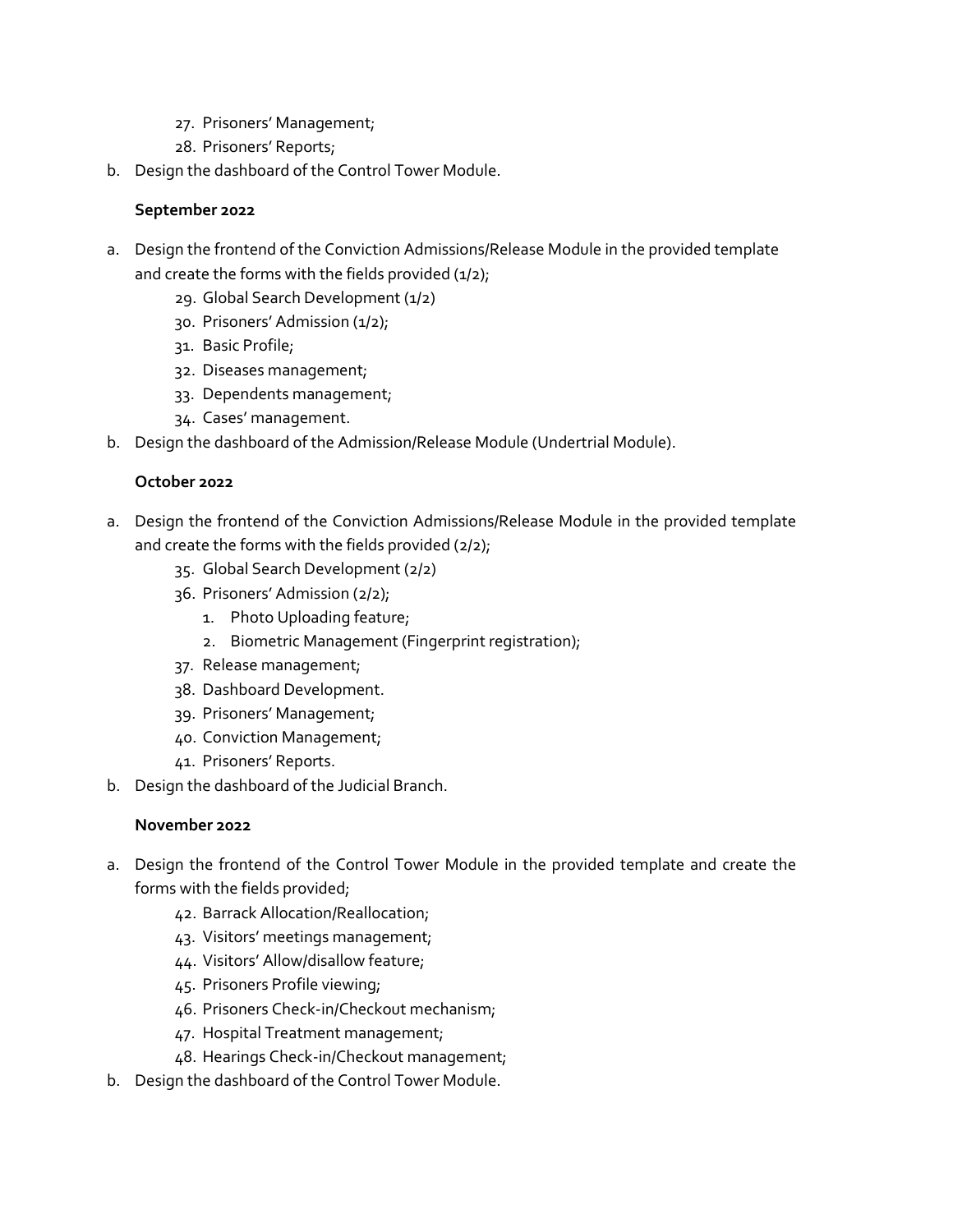- 27. Prisoners' Management;
- 28. Prisoners' Reports;
- b. Design the dashboard of the Control Tower Module.

### **September 2022**

- a. Design the frontend of the Conviction Admissions/Release Module in the provided template and create the forms with the fields provided  $(1/2)$ ;
	- 29. Global Search Development (1/2)
	- 30. Prisoners' Admission (1/2);
	- 31. Basic Profile;
	- 32. Diseases management;
	- 33. Dependents management;
	- 34. Cases' management.
- b. Design the dashboard of the Admission/Release Module (Undertrial Module).

#### **October 2022**

- a. Design the frontend of the Conviction Admissions/Release Module in the provided template and create the forms with the fields provided (2/2);
	- 35. Global Search Development (2/2)
	- 36. Prisoners' Admission (2/2);
		- 1. Photo Uploading feature;
		- 2. Biometric Management (Fingerprint registration);
	- 37. Release management;
	- 38. Dashboard Development.
	- 39. Prisoners' Management;
	- 40. Conviction Management;
	- 41. Prisoners' Reports.
- b. Design the dashboard of the Judicial Branch.

#### **November 2022**

- a. Design the frontend of the Control Tower Module in the provided template and create the forms with the fields provided;
	- 42. Barrack Allocation/Reallocation;
	- 43. Visitors' meetings management;
	- 44. Visitors' Allow/disallow feature;
	- 45. Prisoners Profile viewing;
	- 46. Prisoners Check-in/Checkout mechanism;
	- 47. Hospital Treatment management;
	- 48. Hearings Check-in/Checkout management;
- b. Design the dashboard of the Control Tower Module.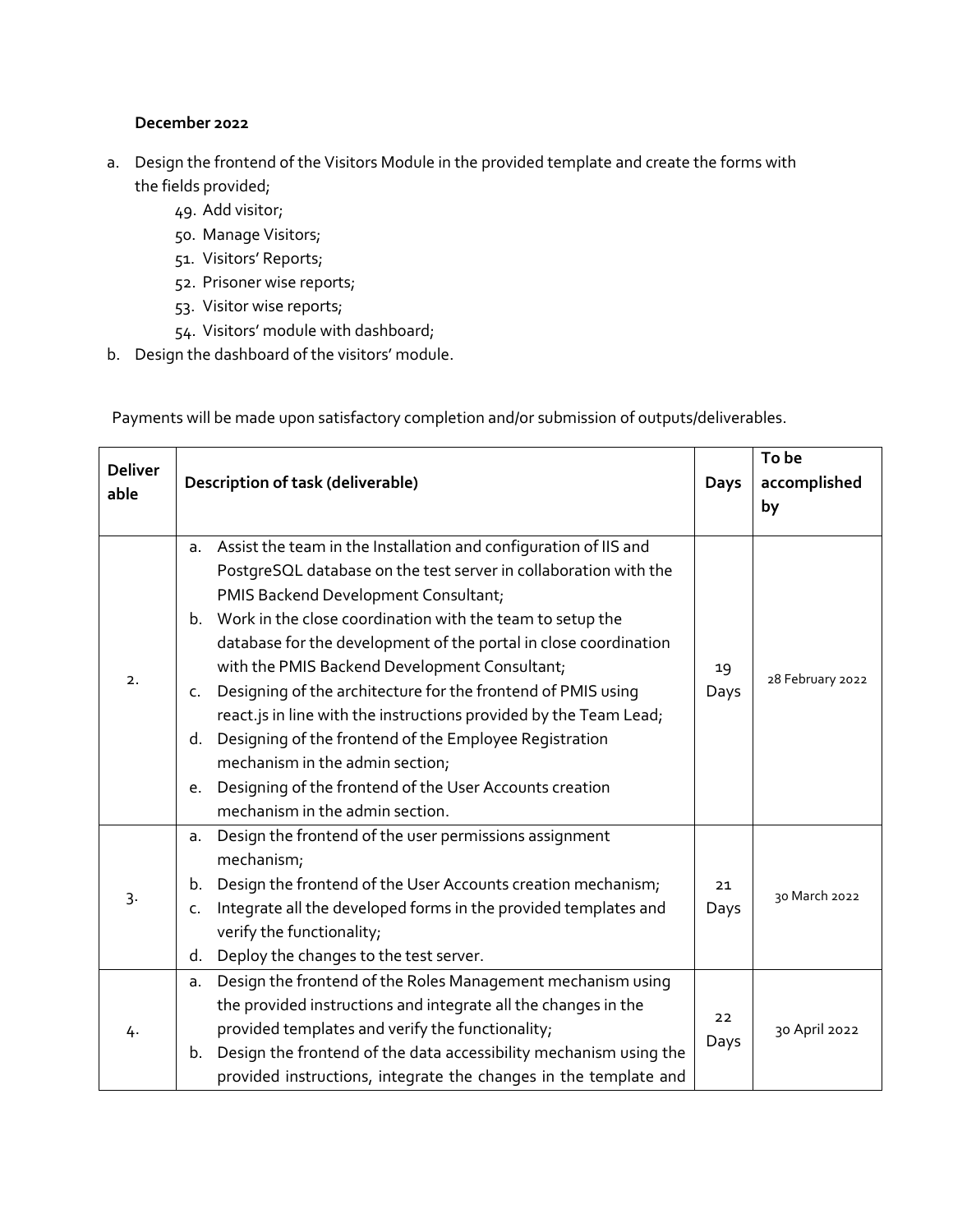### **December 2022**

- a. Design the frontend of the Visitors Module in the provided template and create the forms with the fields provided;
	- 49. Add visitor;
	- 50. Manage Visitors;
	- 51. Visitors' Reports;
	- 52. Prisoner wise reports;
	- 53. Visitor wise reports;
	- 54. Visitors' module with dashboard;
- b. Design the dashboard of the visitors' module.

Payments will be made upon satisfactory completion and/or submission of outputs/deliverables.

| <b>Deliver</b><br>able | Description of task (deliverable)                                                                                                                                                                                                                                                                                                                                                                                                                                                                                                                                                                                                                                                                                                  |            | To be<br>accomplished<br>by |
|------------------------|------------------------------------------------------------------------------------------------------------------------------------------------------------------------------------------------------------------------------------------------------------------------------------------------------------------------------------------------------------------------------------------------------------------------------------------------------------------------------------------------------------------------------------------------------------------------------------------------------------------------------------------------------------------------------------------------------------------------------------|------------|-----------------------------|
| 2.                     | Assist the team in the Installation and configuration of IIS and<br>a.<br>PostgreSQL database on the test server in collaboration with the<br>PMIS Backend Development Consultant;<br>b. Work in the close coordination with the team to setup the<br>database for the development of the portal in close coordination<br>with the PMIS Backend Development Consultant;<br>Designing of the architecture for the frontend of PMIS using<br>$\mathsf{C}$ .<br>react.js in line with the instructions provided by the Team Lead;<br>d. Designing of the frontend of the Employee Registration<br>mechanism in the admin section;<br>Designing of the frontend of the User Accounts creation<br>e.<br>mechanism in the admin section. | 19<br>Days | 28 February 2022            |
| $\overline{3}$         | Design the frontend of the user permissions assignment<br>a.<br>mechanism;<br>Design the frontend of the User Accounts creation mechanism;<br>b.<br>Integrate all the developed forms in the provided templates and<br>c.<br>verify the functionality;<br>Deploy the changes to the test server.<br>d.                                                                                                                                                                                                                                                                                                                                                                                                                             | 21<br>Days | 30 March 2022               |
| 4.                     | Design the frontend of the Roles Management mechanism using<br>a.<br>the provided instructions and integrate all the changes in the<br>provided templates and verify the functionality;<br>Design the frontend of the data accessibility mechanism using the<br>b.<br>provided instructions, integrate the changes in the template and                                                                                                                                                                                                                                                                                                                                                                                             | 22<br>Days | 30 April 2022               |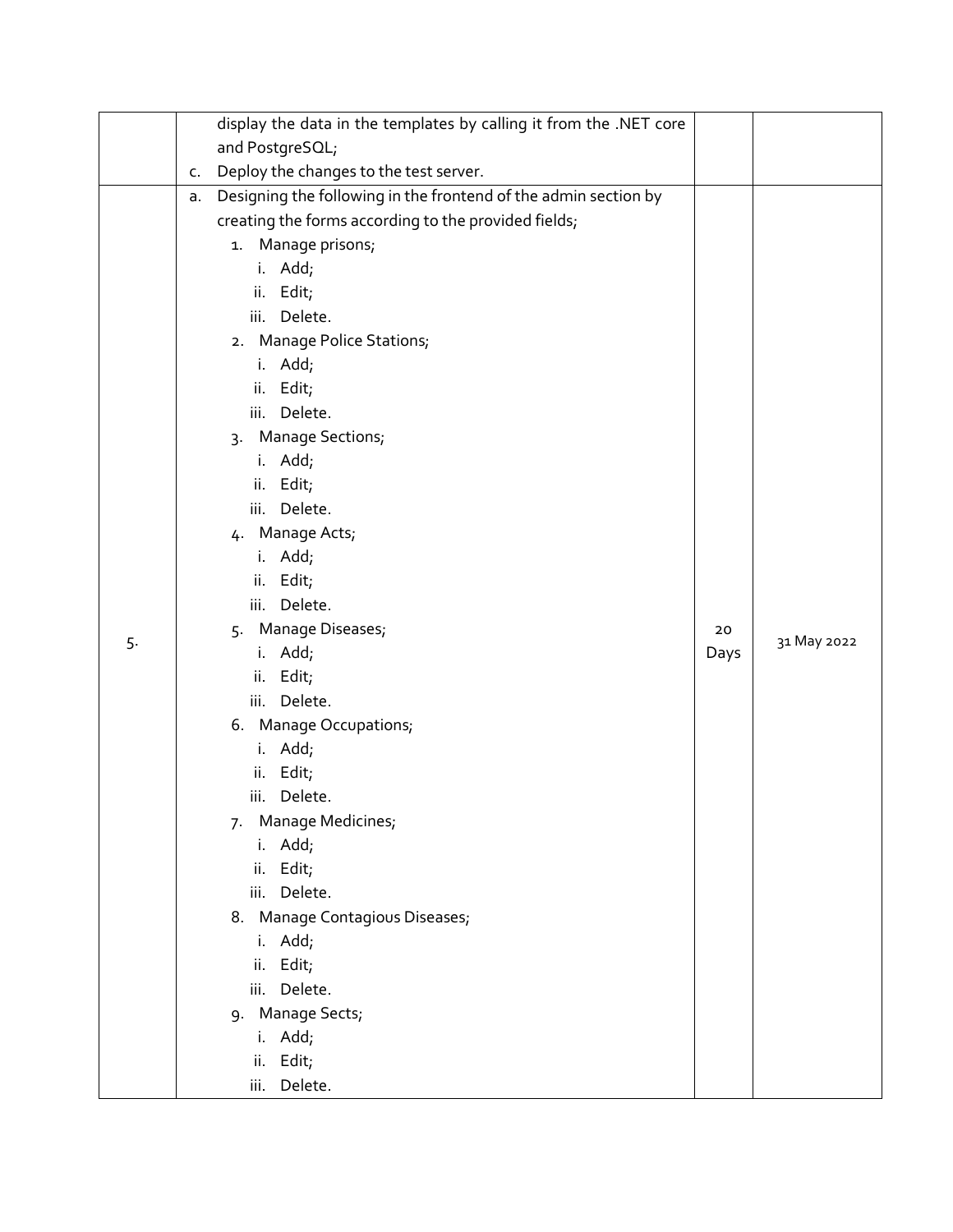|    |    | display the data in the templates by calling it from the .NET core |      |             |
|----|----|--------------------------------------------------------------------|------|-------------|
|    |    | and PostgreSQL;                                                    |      |             |
|    | C. | Deploy the changes to the test server.                             |      |             |
|    | а. | Designing the following in the frontend of the admin section by    |      |             |
|    |    | creating the forms according to the provided fields;               |      |             |
|    |    | 1. Manage prisons;                                                 |      |             |
|    |    | i. Add;                                                            |      |             |
|    |    | ii. Edit;                                                          |      |             |
|    |    | iii. Delete.                                                       |      |             |
|    |    | 2. Manage Police Stations;                                         |      |             |
|    |    | i. Add;                                                            |      |             |
|    |    | ii. Edit;                                                          |      |             |
|    |    | iii. Delete.                                                       |      |             |
|    |    | 3. Manage Sections;                                                |      |             |
|    |    | i. Add;                                                            |      |             |
|    |    | ii. Edit;                                                          |      |             |
|    |    | iii. Delete.                                                       |      |             |
|    |    | 4. Manage Acts;                                                    |      |             |
|    |    | i. Add;                                                            |      |             |
|    |    | ii. Edit;                                                          |      |             |
|    |    | iii. Delete.                                                       |      |             |
| 5. |    | 5. Manage Diseases;                                                | 20   | 31 May 2022 |
|    |    | i. Add;                                                            | Days |             |
|    |    | ii. Edit;                                                          |      |             |
|    |    | iii. Delete.                                                       |      |             |
|    |    | 6. Manage Occupations;                                             |      |             |
|    |    | i. Add;                                                            |      |             |
|    |    | ii. Edit;                                                          |      |             |
|    |    | Delete.<br>iii.                                                    |      |             |
|    |    | Manage Medicines;<br>7.                                            |      |             |
|    |    | i. Add;                                                            |      |             |
|    |    | ii. Edit;                                                          |      |             |
|    |    | Delete.<br>iii.                                                    |      |             |
|    |    | 8. Manage Contagious Diseases;                                     |      |             |
|    |    | i. Add;                                                            |      |             |
|    |    | ii. Edit;                                                          |      |             |
|    |    | Delete.<br>iii.                                                    |      |             |
|    |    | 9. Manage Sects;                                                   |      |             |
|    |    | i. Add;                                                            |      |             |
|    |    | ii. Edit;                                                          |      |             |
|    |    | Delete.<br>iii.                                                    |      |             |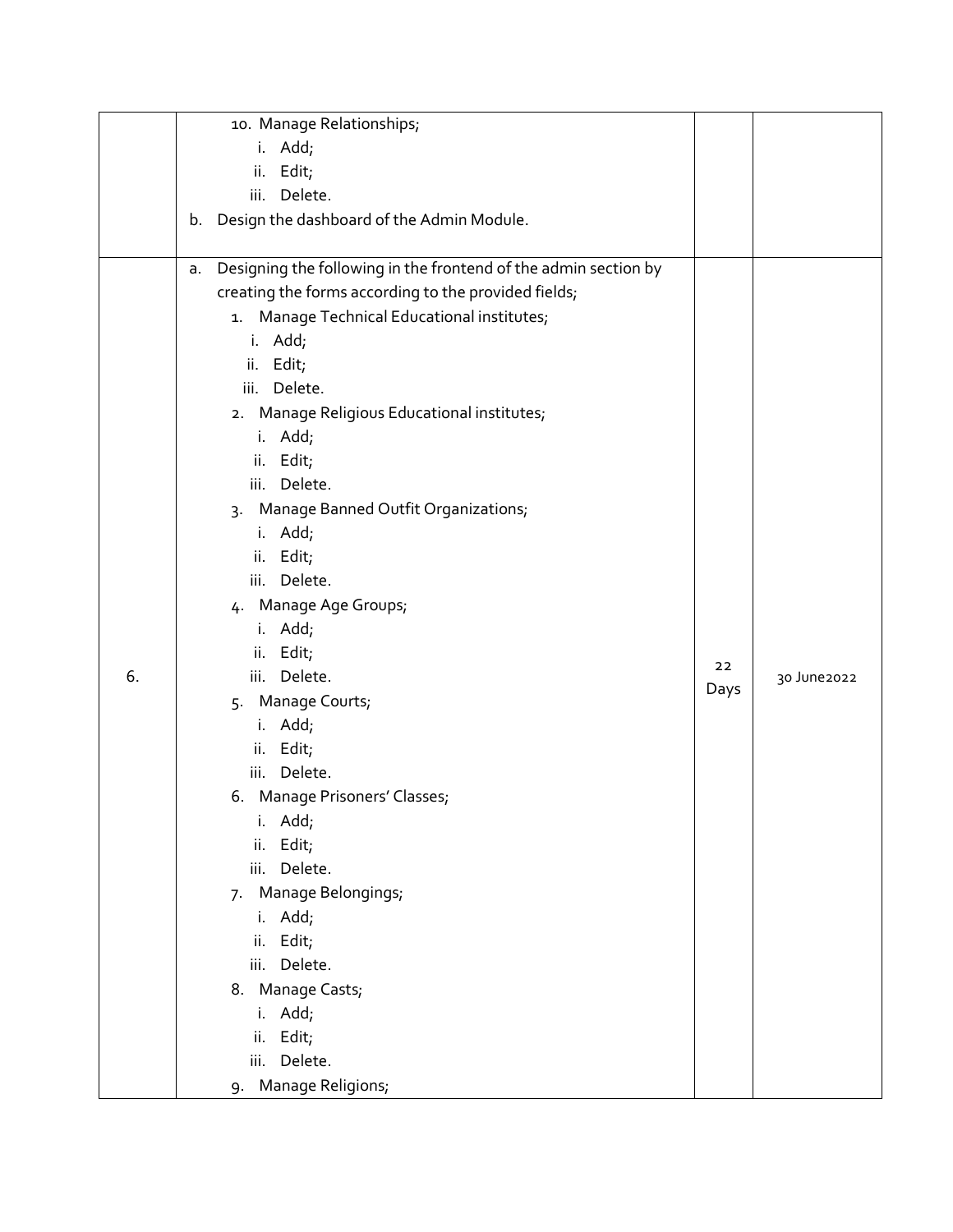|    | 10. Manage Relationships;                                             |      |             |
|----|-----------------------------------------------------------------------|------|-------------|
|    | i. Add;                                                               |      |             |
|    | ii. Edit;                                                             |      |             |
|    | Delete.<br>iii.                                                       |      |             |
|    | Design the dashboard of the Admin Module.<br>b.                       |      |             |
|    |                                                                       |      |             |
|    | Designing the following in the frontend of the admin section by<br>a. |      |             |
|    | creating the forms according to the provided fields;                  |      |             |
|    | 1. Manage Technical Educational institutes;                           |      |             |
|    | i. Add;                                                               |      |             |
|    | Edit;<br>ii.                                                          |      |             |
|    | iii. Delete.                                                          |      |             |
|    | 2. Manage Religious Educational institutes;                           |      |             |
|    | i. Add;                                                               |      |             |
|    | ii. Edit;                                                             |      |             |
|    | iii. Delete.                                                          |      |             |
|    | 3. Manage Banned Outfit Organizations;                                |      |             |
|    | i. Add;                                                               |      |             |
|    | ii. Edit;                                                             |      |             |
|    | iii. Delete.                                                          |      |             |
|    | 4. Manage Age Groups;                                                 |      |             |
|    | i. Add;                                                               |      |             |
|    | ii. Edit;                                                             |      |             |
| 6. | iii. Delete.                                                          | 22   | 30 June2022 |
|    | 5. Manage Courts;                                                     | Days |             |
|    | i. Add;                                                               |      |             |
|    | ii. Edit;                                                             |      |             |
|    | iii. Delete.                                                          |      |             |
|    | 6. Manage Prisoners' Classes;                                         |      |             |
|    | Add;<br>i.                                                            |      |             |
|    | Edit;<br>ii.                                                          |      |             |
|    | Delete.<br>iii.                                                       |      |             |
|    | Manage Belongings;<br>7.                                              |      |             |
|    | i. Add;                                                               |      |             |
|    | ii. Edit;                                                             |      |             |
|    | iii. Delete.                                                          |      |             |
|    | 8. Manage Casts;                                                      |      |             |
|    | i. Add;                                                               |      |             |
|    | Edit;<br>ii.                                                          |      |             |
|    | iii. Delete.                                                          |      |             |
|    | 9. Manage Religions;                                                  |      |             |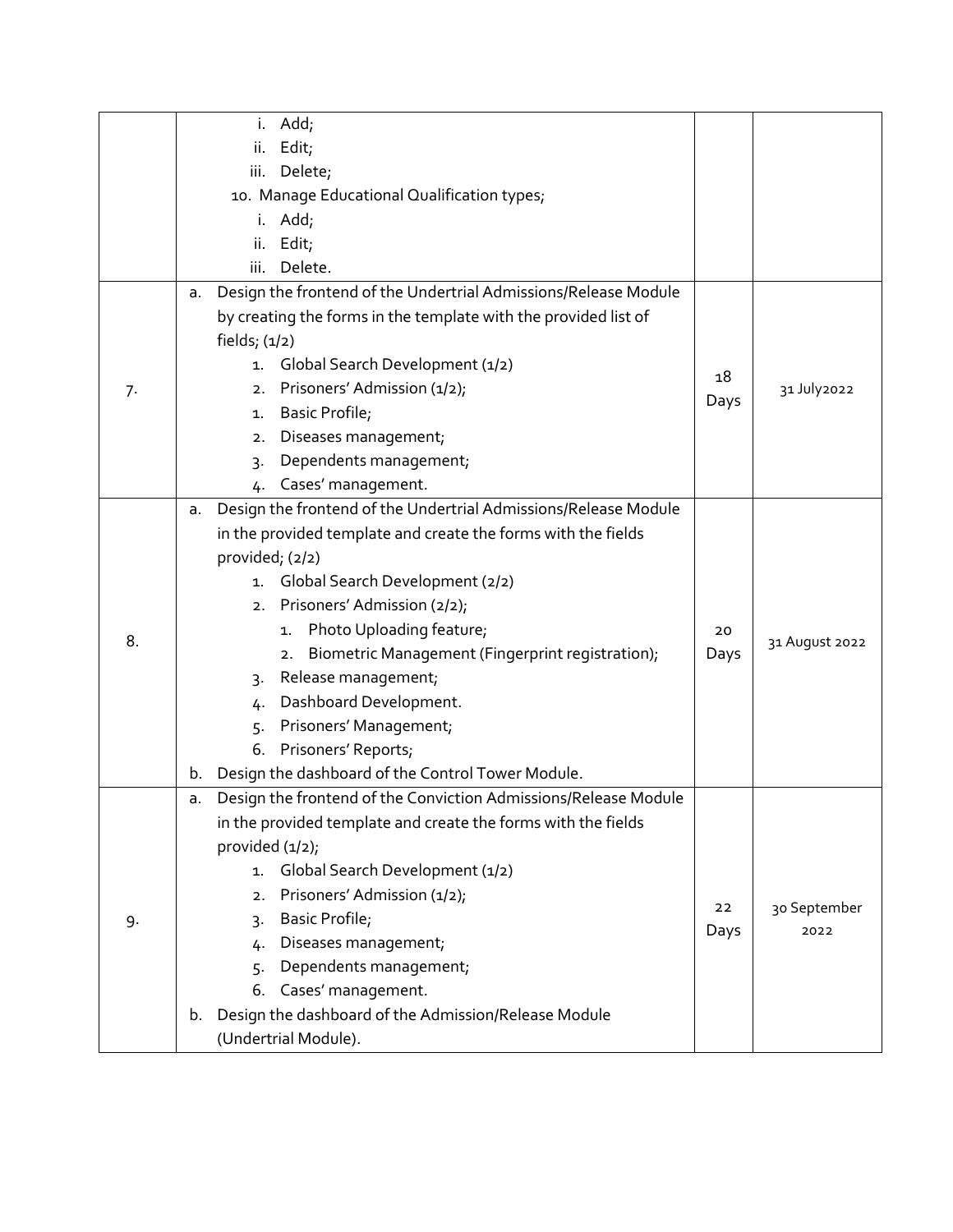|    |                    | i. Add;                                                         |      |                      |
|----|--------------------|-----------------------------------------------------------------|------|----------------------|
|    | ii.                | Edit;                                                           |      |                      |
|    |                    | iii. Delete;                                                    |      |                      |
|    |                    | 10. Manage Educational Qualification types;                     |      |                      |
|    |                    | i. Add;                                                         |      |                      |
|    | ii.                | Edit;                                                           |      |                      |
|    | iii.               | Delete.                                                         |      |                      |
|    | a.                 | Design the frontend of the Undertrial Admissions/Release Module |      |                      |
|    |                    | by creating the forms in the template with the provided list of |      |                      |
|    | fields; $(1/2)$    |                                                                 |      |                      |
|    |                    | 1. Global Search Development (1/2)                              | 18   |                      |
| 7. |                    | 2. Prisoners' Admission (1/2);                                  | Days | 31 July2022          |
|    | 1.                 | Basic Profile;                                                  |      |                      |
|    | 2.                 | Diseases management;                                            |      |                      |
|    | 3.                 | Dependents management;                                          |      |                      |
|    | 4.                 | Cases' management.                                              |      |                      |
|    | a.                 | Design the frontend of the Undertrial Admissions/Release Module |      |                      |
|    |                    | in the provided template and create the forms with the fields   |      |                      |
|    | provided; (2/2)    |                                                                 |      |                      |
|    | 1.                 | Global Search Development (2/2)                                 |      |                      |
|    |                    | 2. Prisoners' Admission (2/2);                                  |      |                      |
| 8. |                    | 1. Photo Uploading feature;                                     | 20   | 31 August 2022       |
|    |                    | Biometric Management (Fingerprint registration);<br>2.          | Days |                      |
|    | 3.                 | Release management;                                             |      |                      |
|    | 4.                 | Dashboard Development.                                          |      |                      |
|    |                    | 5. Prisoners' Management,                                       |      |                      |
|    |                    | 6. Prisoners' Reports;                                          |      |                      |
|    | b.                 | Design the dashboard of the Control Tower Module.               |      |                      |
|    | a.                 | Design the frontend of the Conviction Admissions/Release Module |      |                      |
|    |                    | in the provided template and create the forms with the fields   |      |                      |
|    | provided $(1/2)$ ; |                                                                 |      |                      |
| 9. | 1.                 | Global Search Development (1/2)                                 |      |                      |
|    | 2.                 | Prisoners' Admission (1/2);                                     | 22   |                      |
|    | 3.                 | Basic Profile;                                                  | Days | 30 September<br>2022 |
|    | 4.                 | Diseases management;                                            |      |                      |
|    | 5.                 | Dependents management;                                          |      |                      |
|    | 6.                 | Cases' management.                                              |      |                      |
|    | b.                 | Design the dashboard of the Admission/Release Module            |      |                      |
|    |                    | (Undertrial Module).                                            |      |                      |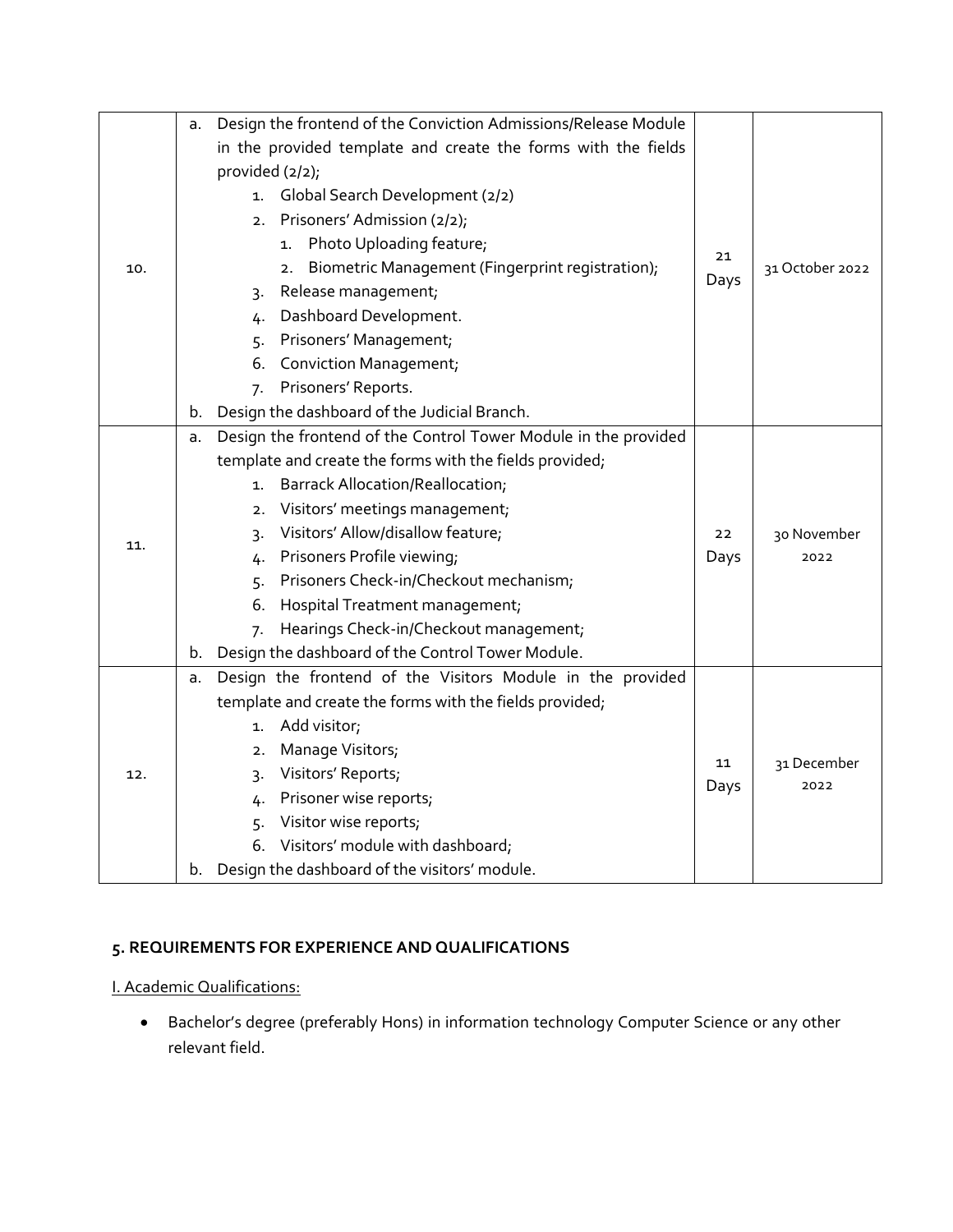|     | a.                                                      | Design the frontend of the Conviction Admissions/Release Module |            |                     |
|-----|---------------------------------------------------------|-----------------------------------------------------------------|------------|---------------------|
|     |                                                         | in the provided template and create the forms with the fields   |            |                     |
|     |                                                         | provided $(2/2)$ ;                                              |            |                     |
|     |                                                         | Global Search Development (2/2)<br>1.                           |            |                     |
|     |                                                         | 2. Prisoners' Admission (2/2);                                  |            |                     |
|     |                                                         | 1. Photo Uploading feature;                                     |            |                     |
| 10. |                                                         | Biometric Management (Fingerprint registration);<br>2.          | 21         | 31 October 2022     |
|     |                                                         | Release management;<br>3.                                       | Days       |                     |
|     |                                                         | Dashboard Development.<br>4.                                    |            |                     |
|     |                                                         | Prisoners' Management;<br>5.                                    |            |                     |
|     |                                                         | <b>Conviction Management;</b><br>6.                             |            |                     |
|     |                                                         | Prisoners' Reports.<br>7.                                       |            |                     |
|     | b.                                                      | Design the dashboard of the Judicial Branch.                    |            |                     |
|     | a.                                                      | Design the frontend of the Control Tower Module in the provided |            |                     |
|     | template and create the forms with the fields provided; |                                                                 |            |                     |
|     |                                                         | <b>Barrack Allocation/Reallocation;</b><br>1.                   |            |                     |
|     |                                                         | Visitors' meetings management;<br>2.                            |            |                     |
|     |                                                         | Visitors' Allow/disallow feature;<br>3.                         | 22         | 30 November         |
| 11. |                                                         | 4. Prisoners Profile viewing;                                   | Days       | 2022                |
|     |                                                         | 5. Prisoners Check-in/Checkout mechanism;                       |            |                     |
|     |                                                         | 6.<br>Hospital Treatment management;                            |            |                     |
|     |                                                         | Hearings Check-in/Checkout management;<br>7.                    |            |                     |
|     | b.                                                      | Design the dashboard of the Control Tower Module.               |            |                     |
|     | a.                                                      | Design the frontend of the Visitors Module in the provided      |            |                     |
|     | template and create the forms with the fields provided; |                                                                 |            |                     |
| 12. |                                                         | 1. Add visitor;                                                 |            |                     |
|     |                                                         | Manage Visitors;<br>2.                                          |            |                     |
|     |                                                         | Visitors' Reports;<br>3.                                        | 11<br>Days | 31 December<br>2022 |
|     |                                                         | Prisoner wise reports;<br>4.                                    |            |                     |
|     |                                                         | Visitor wise reports;<br>5.                                     |            |                     |
|     |                                                         | 6. Visitors' module with dashboard;                             |            |                     |
|     | b.                                                      | Design the dashboard of the visitors' module.                   |            |                     |

## **5. REQUIREMENTS FOR EXPERIENCE AND QUALIFICATIONS**

I. Academic Qualifications:

• Bachelor's degree (preferably Hons) in information technology Computer Science or any other relevant field.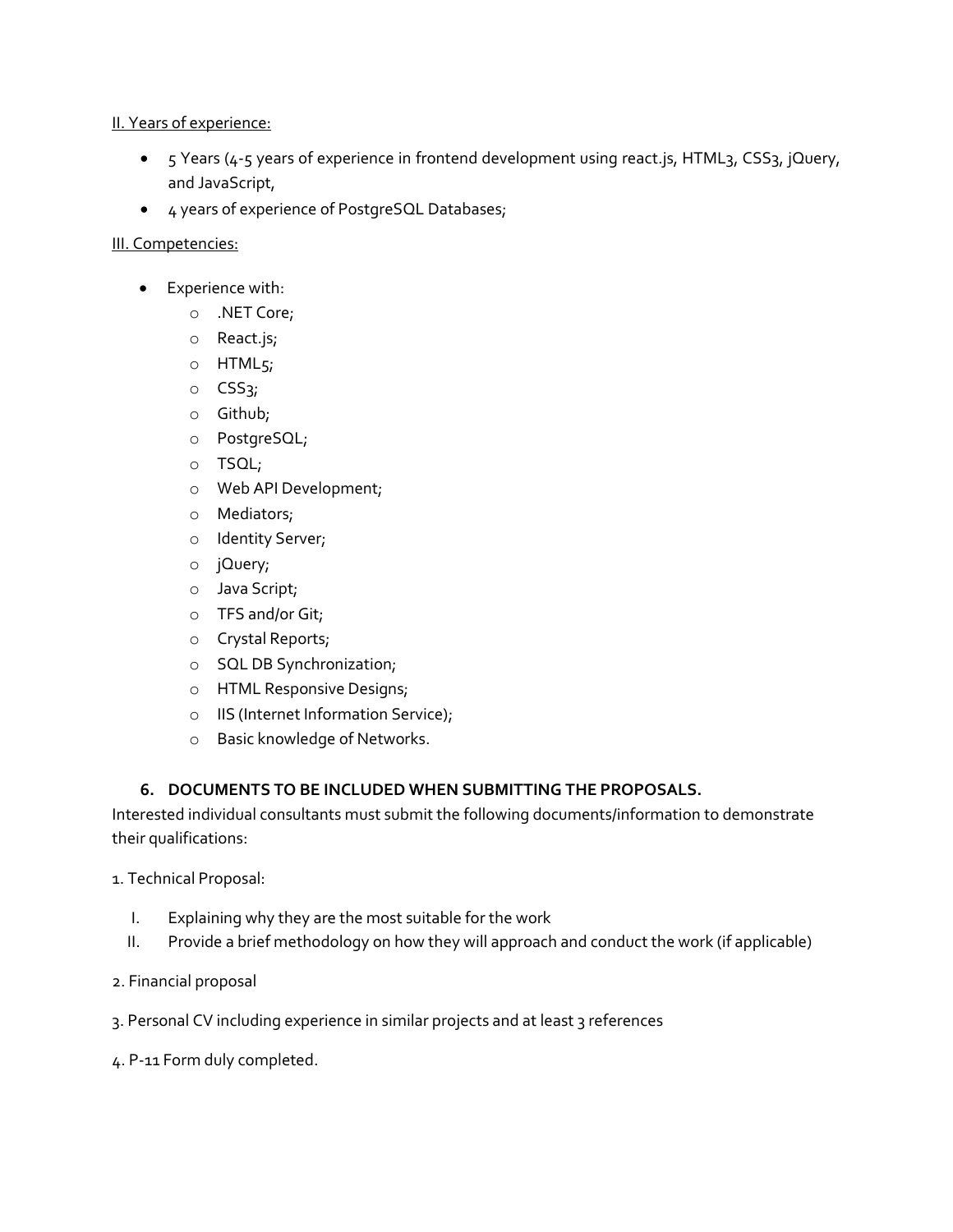#### II. Years of experience:

- 5 Years (4-5 years of experience in frontend development using react. js, HTML3, CSS3, jQuery, and JavaScript,
- 4 years of experience of PostgreSQL Databases;

### III. Competencies:

- Experience with:
	- o .NET Core;
	- o React.js;
	- o HTML5;
	- o CSS3;
	- o Github;
	- o PostgreSQL;
	- o TSQL;
	- o Web API Development;
	- o Mediators;
	- o Identity Server;
	- o jQuery;
	- o Java Script;
	- o TFS and/or Git;
	- o Crystal Reports;
	- o SQL DB Synchronization;
	- o HTML Responsive Designs;
	- o IIS (Internet Information Service);
	- o Basic knowledge of Networks.

## **6. DOCUMENTS TO BE INCLUDED WHEN SUBMITTING THE PROPOSALS.**

Interested individual consultants must submit the following documents/information to demonstrate their qualifications:

1. Technical Proposal:

- I. Explaining why they are the most suitable for the work
- II. Provide a brief methodology on how they will approach and conduct the work (if applicable)
- 2. Financial proposal
- 3. Personal CV including experience in similar projects and at least 3 references
- 4. P-11 Form duly completed.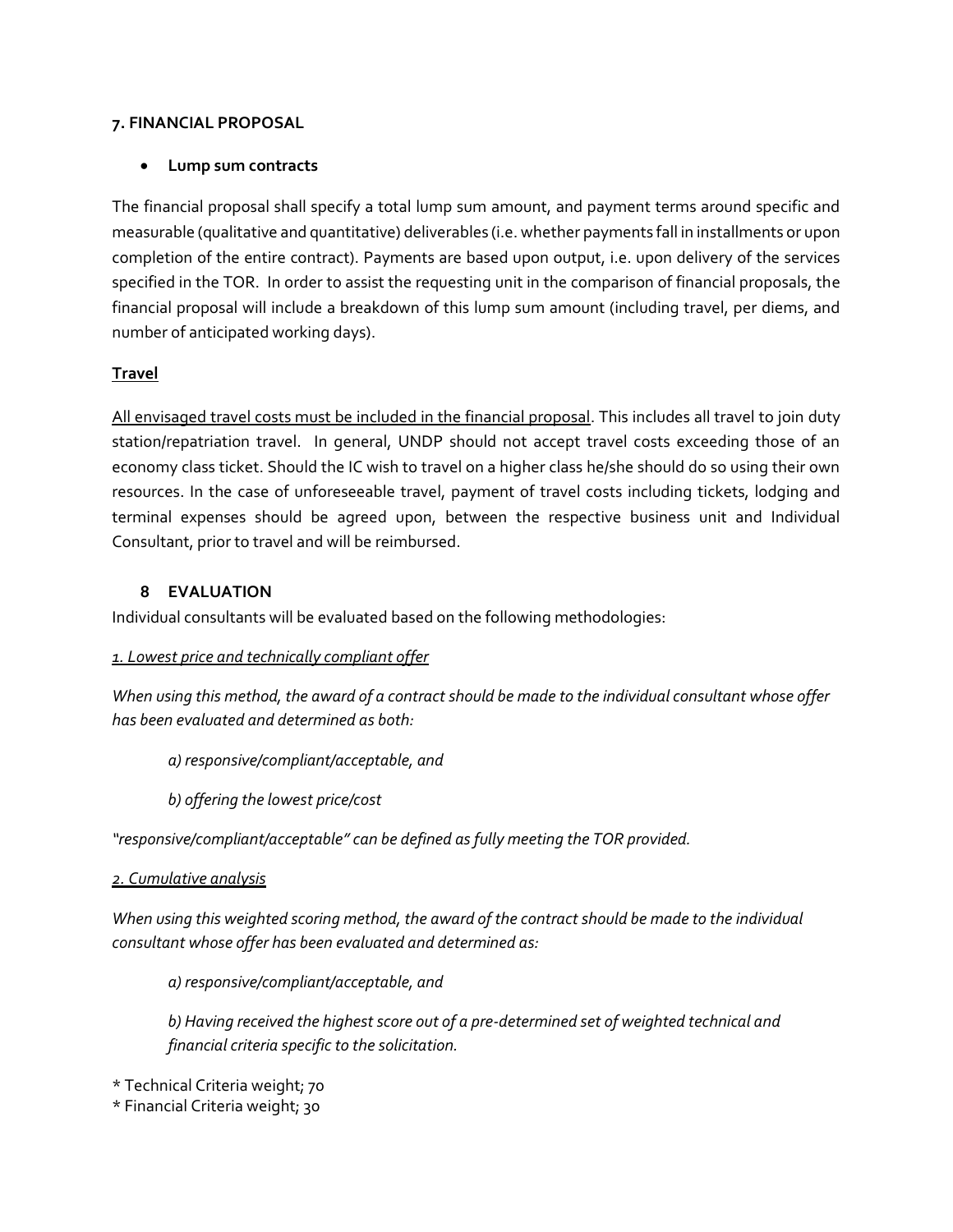#### **7. FINANCIAL PROPOSAL**

#### • **Lump sum contracts**

The financial proposal shall specify a total lump sum amount, and payment terms around specific and measurable (qualitative and quantitative) deliverables (i.e. whether payments fall in installments or upon completion of the entire contract). Payments are based upon output, i.e. upon delivery of the services specified in the TOR. In order to assist the requesting unit in the comparison of financial proposals, the financial proposal will include a breakdown of this lump sum amount (including travel, per diems, and number of anticipated working days).

#### **Travel**

All envisaged travel costs must be included in the financial proposal. This includes all travel to join duty station/repatriation travel. In general, UNDP should not accept travel costs exceeding those of an economy class ticket. Should the IC wish to travel on a higher class he/she should do so using their own resources. In the case of unforeseeable travel, payment of travel costs including tickets, lodging and terminal expenses should be agreed upon, between the respective business unit and Individual Consultant, prior to travel and will be reimbursed.

#### **8 EVALUATION**

Individual consultants will be evaluated based on the following methodologies:

#### *1. Lowest price and technically compliant offer*

*When using this method, the award of a contract should be made to the individual consultant whose offer has been evaluated and determined as both:*

*a) responsive/compliant/acceptable, and*

*b) offering the lowest price/cost*

*"responsive/compliant/acceptable" can be defined as fully meeting the TOR provided.* 

*2. Cumulative analysis* 

*When using this weighted scoring method, the award of the contract should be made to the individual consultant whose offer has been evaluated and determined as:*

*a) responsive/compliant/acceptable, and*

*b) Having received the highest score out of a pre-determined set of weighted technical and financial criteria specific to the solicitation.* 

\* Technical Criteria weight; 70

\* Financial Criteria weight; 30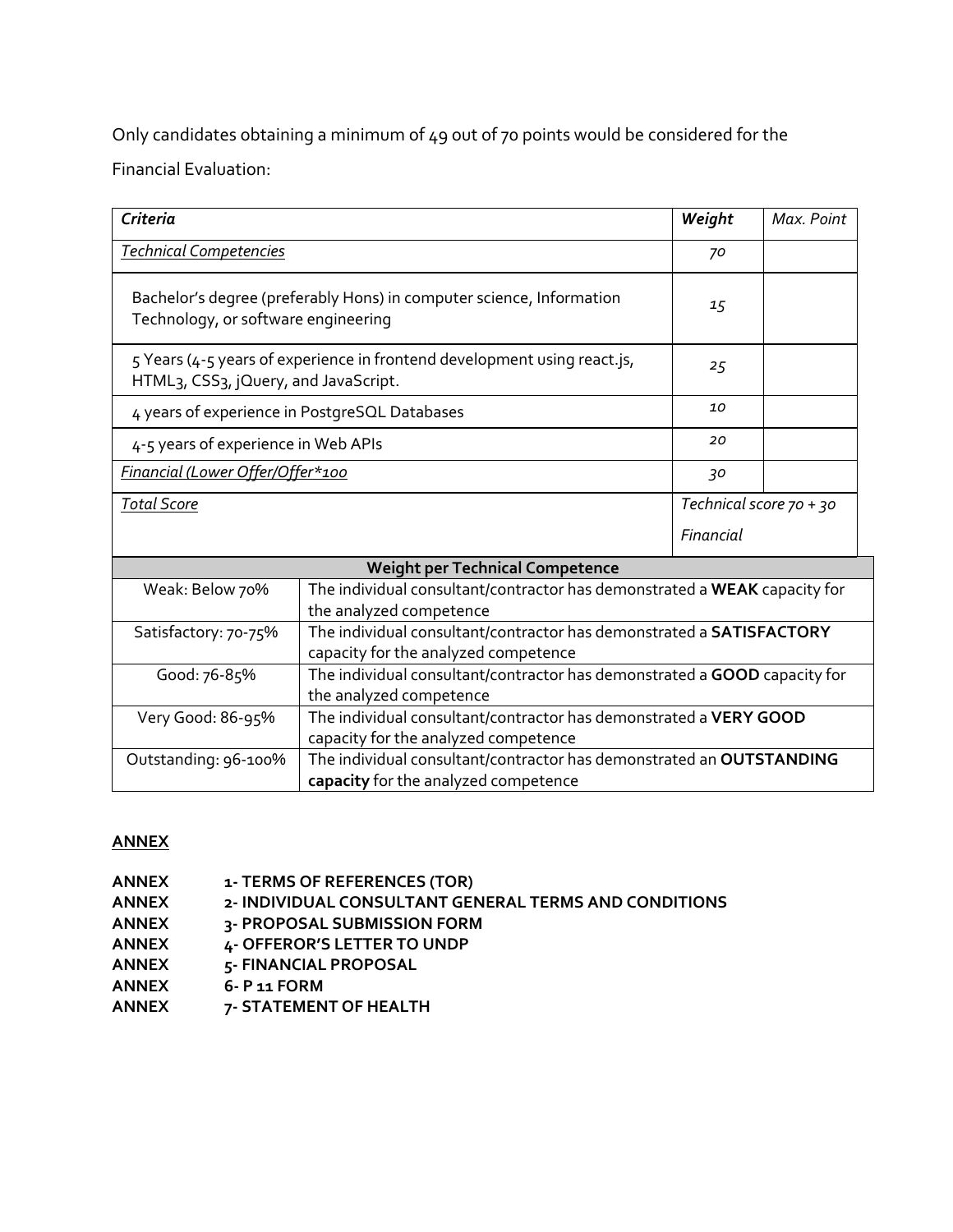Only candidates obtaining a minimum of 49 out of 70 points would be considered for the Financial Evaluation:

| Criteria                                                                                                             |                                                                                                              | Weight                                                                    | Max. Point |
|----------------------------------------------------------------------------------------------------------------------|--------------------------------------------------------------------------------------------------------------|---------------------------------------------------------------------------|------------|
| <b>Technical Competencies</b>                                                                                        |                                                                                                              | 70                                                                        |            |
| Bachelor's degree (preferably Hons) in computer science, Information<br>Technology, or software engineering          |                                                                                                              | 15                                                                        |            |
| HTML <sub>3</sub> , CSS <sub>3</sub> , jQuery, and JavaScript.                                                       | 5 Years (4-5 years of experience in frontend development using react.js,                                     | 25                                                                        |            |
|                                                                                                                      | 4 years of experience in PostgreSQL Databases                                                                | 10                                                                        |            |
| 4-5 years of experience in Web APIs                                                                                  |                                                                                                              | 20                                                                        |            |
| Financial (Lower Offer/Offer*100                                                                                     |                                                                                                              | 30                                                                        |            |
| <b>Total Score</b>                                                                                                   |                                                                                                              | Technical score 70 + 30                                                   |            |
|                                                                                                                      |                                                                                                              | Financial                                                                 |            |
|                                                                                                                      | <b>Weight per Technical Competence</b>                                                                       |                                                                           |            |
| Weak: Below 70%                                                                                                      | the analyzed competence                                                                                      | The individual consultant/contractor has demonstrated a WEAK capacity for |            |
| Satisfactory: 70-75%                                                                                                 | The individual consultant/contractor has demonstrated a SATISFACTORY<br>capacity for the analyzed competence |                                                                           |            |
| Good: 76-85%<br>The individual consultant/contractor has demonstrated a GOOD capacity for<br>the analyzed competence |                                                                                                              |                                                                           |            |

| Very Good: 86-95%    | The individual consultant/contractor has demonstrated a VERY GOOD    |
|----------------------|----------------------------------------------------------------------|
|                      | capacity for the analyzed competence                                 |
| Outstanding: 96-100% | The individual consultant/contractor has demonstrated an OUTSTANDING |
|                      | capacity for the analyzed competence                                 |

# **ANNEX**

| ANNEX | 1- TERMS OF REFERENCES (TOR)                          |
|-------|-------------------------------------------------------|
| ANNEX | 2- INDIVIDUAL CONSULTANT GENERAL TERMS AND CONDITIONS |
| ANNEX | 3- PROPOSAL SUBMISSION FORM                           |
| ANNEX | 4- OFFEROR'S LETTER TO UNDP                           |
| ANNEX | 5- FINANCIAL PROPOSAL                                 |
| ANNEX | 6- P 11 FORM                                          |
| ANNEX | 7- STATEMENT OF HEALTH                                |
|       |                                                       |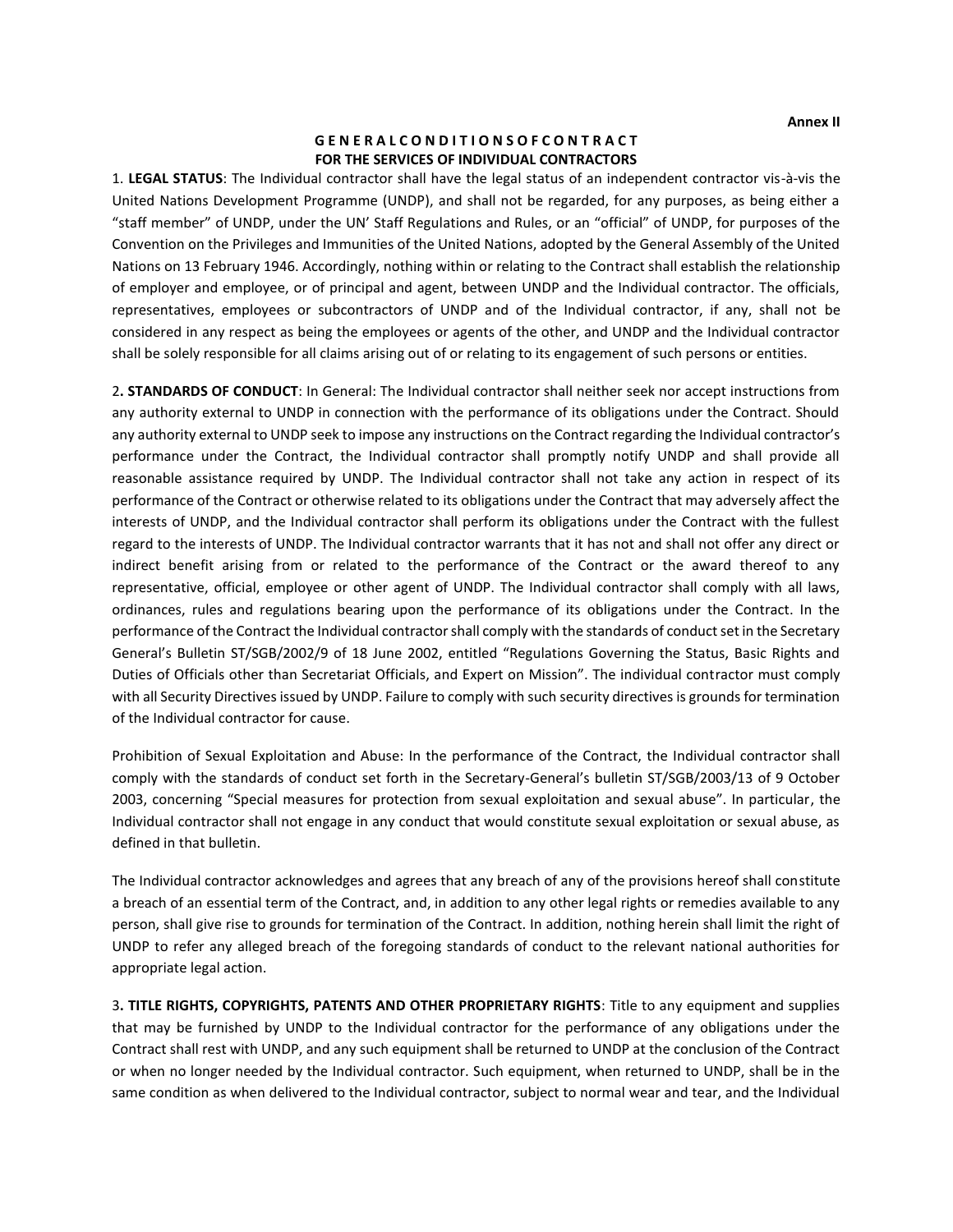#### **G E N E R A L C O N D I T I O N S O F C O N T R A C T FOR THE SERVICES OF INDIVIDUAL CONTRACTORS**

1. **LEGAL STATUS**: The Individual contractor shall have the legal status of an independent contractor vis-à-vis the United Nations Development Programme (UNDP), and shall not be regarded, for any purposes, as being either a "staff member" of UNDP, under the UN' Staff Regulations and Rules, or an "official" of UNDP, for purposes of the Convention on the Privileges and Immunities of the United Nations, adopted by the General Assembly of the United Nations on 13 February 1946. Accordingly, nothing within or relating to the Contract shall establish the relationship of employer and employee, or of principal and agent, between UNDP and the Individual contractor. The officials, representatives, employees or subcontractors of UNDP and of the Individual contractor, if any, shall not be considered in any respect as being the employees or agents of the other, and UNDP and the Individual contractor shall be solely responsible for all claims arising out of or relating to its engagement of such persons or entities.

2**. STANDARDS OF CONDUCT**: In General: The Individual contractor shall neither seek nor accept instructions from any authority external to UNDP in connection with the performance of its obligations under the Contract. Should any authority external to UNDP seek to impose any instructions on the Contract regarding the Individual contractor's performance under the Contract, the Individual contractor shall promptly notify UNDP and shall provide all reasonable assistance required by UNDP. The Individual contractor shall not take any action in respect of its performance of the Contract or otherwise related to its obligations under the Contract that may adversely affect the interests of UNDP, and the Individual contractor shall perform its obligations under the Contract with the fullest regard to the interests of UNDP. The Individual contractor warrants that it has not and shall not offer any direct or indirect benefit arising from or related to the performance of the Contract or the award thereof to any representative, official, employee or other agent of UNDP. The Individual contractor shall comply with all laws, ordinances, rules and regulations bearing upon the performance of its obligations under the Contract. In the performance of the Contract the Individual contractor shall comply with the standards of conduct set in the Secretary General's Bulletin ST/SGB/2002/9 of 18 June 2002, entitled "Regulations Governing the Status, Basic Rights and Duties of Officials other than Secretariat Officials, and Expert on Mission". The individual contractor must comply with all Security Directives issued by UNDP. Failure to comply with such security directives is grounds for termination of the Individual contractor for cause.

Prohibition of Sexual Exploitation and Abuse: In the performance of the Contract, the Individual contractor shall comply with the standards of conduct set forth in the Secretary-General's bulletin ST/SGB/2003/13 of 9 October 2003, concerning "Special measures for protection from sexual exploitation and sexual abuse". In particular, the Individual contractor shall not engage in any conduct that would constitute sexual exploitation or sexual abuse, as defined in that bulletin.

The Individual contractor acknowledges and agrees that any breach of any of the provisions hereof shall constitute a breach of an essential term of the Contract, and, in addition to any other legal rights or remedies available to any person, shall give rise to grounds for termination of the Contract. In addition, nothing herein shall limit the right of UNDP to refer any alleged breach of the foregoing standards of conduct to the relevant national authorities for appropriate legal action.

3**. TITLE RIGHTS, COPYRIGHTS, PATENTS AND OTHER PROPRIETARY RIGHTS**: Title to any equipment and supplies that may be furnished by UNDP to the Individual contractor for the performance of any obligations under the Contract shall rest with UNDP, and any such equipment shall be returned to UNDP at the conclusion of the Contract or when no longer needed by the Individual contractor. Such equipment, when returned to UNDP, shall be in the same condition as when delivered to the Individual contractor, subject to normal wear and tear, and the Individual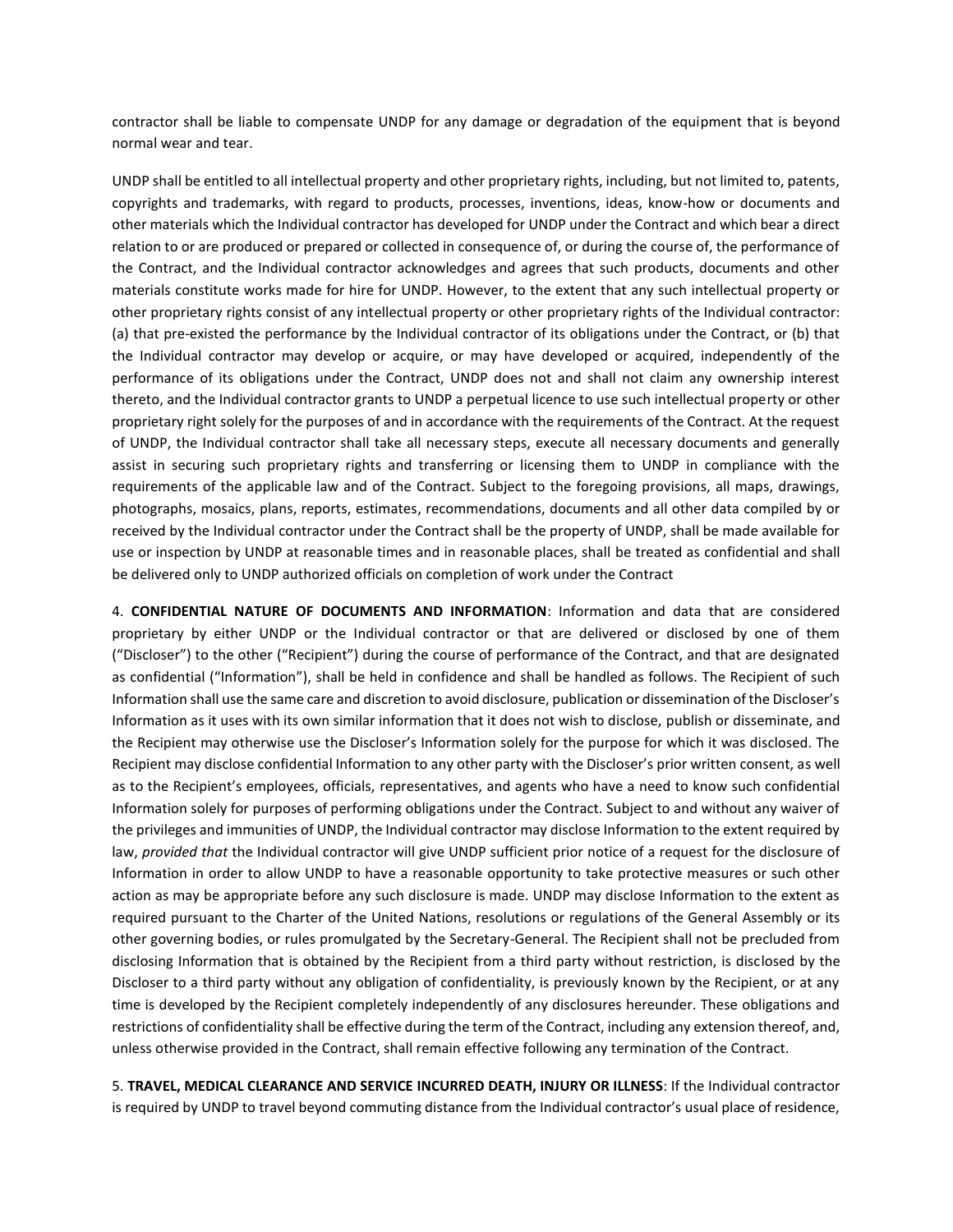contractor shall be liable to compensate UNDP for any damage or degradation of the equipment that is beyond normal wear and tear.

UNDP shall be entitled to all intellectual property and other proprietary rights, including, but not limited to, patents, copyrights and trademarks, with regard to products, processes, inventions, ideas, know-how or documents and other materials which the Individual contractor has developed for UNDP under the Contract and which bear a direct relation to or are produced or prepared or collected in consequence of, or during the course of, the performance of the Contract, and the Individual contractor acknowledges and agrees that such products, documents and other materials constitute works made for hire for UNDP. However, to the extent that any such intellectual property or other proprietary rights consist of any intellectual property or other proprietary rights of the Individual contractor: (a) that pre-existed the performance by the Individual contractor of its obligations under the Contract, or (b) that the Individual contractor may develop or acquire, or may have developed or acquired, independently of the performance of its obligations under the Contract, UNDP does not and shall not claim any ownership interest thereto, and the Individual contractor grants to UNDP a perpetual licence to use such intellectual property or other proprietary right solely for the purposes of and in accordance with the requirements of the Contract. At the request of UNDP, the Individual contractor shall take all necessary steps, execute all necessary documents and generally assist in securing such proprietary rights and transferring or licensing them to UNDP in compliance with the requirements of the applicable law and of the Contract. Subject to the foregoing provisions, all maps, drawings, photographs, mosaics, plans, reports, estimates, recommendations, documents and all other data compiled by or received by the Individual contractor under the Contract shall be the property of UNDP, shall be made available for use or inspection by UNDP at reasonable times and in reasonable places, shall be treated as confidential and shall be delivered only to UNDP authorized officials on completion of work under the Contract

4. **CONFIDENTIAL NATURE OF DOCUMENTS AND INFORMATION**: Information and data that are considered proprietary by either UNDP or the Individual contractor or that are delivered or disclosed by one of them ("Discloser") to the other ("Recipient") during the course of performance of the Contract, and that are designated as confidential ("Information"), shall be held in confidence and shall be handled as follows. The Recipient of such Information shall use the same care and discretion to avoid disclosure, publication or dissemination of the Discloser's Information as it uses with its own similar information that it does not wish to disclose, publish or disseminate, and the Recipient may otherwise use the Discloser's Information solely for the purpose for which it was disclosed. The Recipient may disclose confidential Information to any other party with the Discloser's prior written consent, as well as to the Recipient's employees, officials, representatives, and agents who have a need to know such confidential Information solely for purposes of performing obligations under the Contract. Subject to and without any waiver of the privileges and immunities of UNDP, the Individual contractor may disclose Information to the extent required by law, *provided that* the Individual contractor will give UNDP sufficient prior notice of a request for the disclosure of Information in order to allow UNDP to have a reasonable opportunity to take protective measures or such other action as may be appropriate before any such disclosure is made. UNDP may disclose Information to the extent as required pursuant to the Charter of the United Nations, resolutions or regulations of the General Assembly or its other governing bodies, or rules promulgated by the Secretary-General. The Recipient shall not be precluded from disclosing Information that is obtained by the Recipient from a third party without restriction, is disclosed by the Discloser to a third party without any obligation of confidentiality, is previously known by the Recipient, or at any time is developed by the Recipient completely independently of any disclosures hereunder. These obligations and restrictions of confidentiality shall be effective during the term of the Contract, including any extension thereof, and, unless otherwise provided in the Contract, shall remain effective following any termination of the Contract.

5. **TRAVEL, MEDICAL CLEARANCE AND SERVICE INCURRED DEATH, INJURY OR ILLNESS**: If the Individual contractor is required by UNDP to travel beyond commuting distance from the Individual contractor's usual place of residence,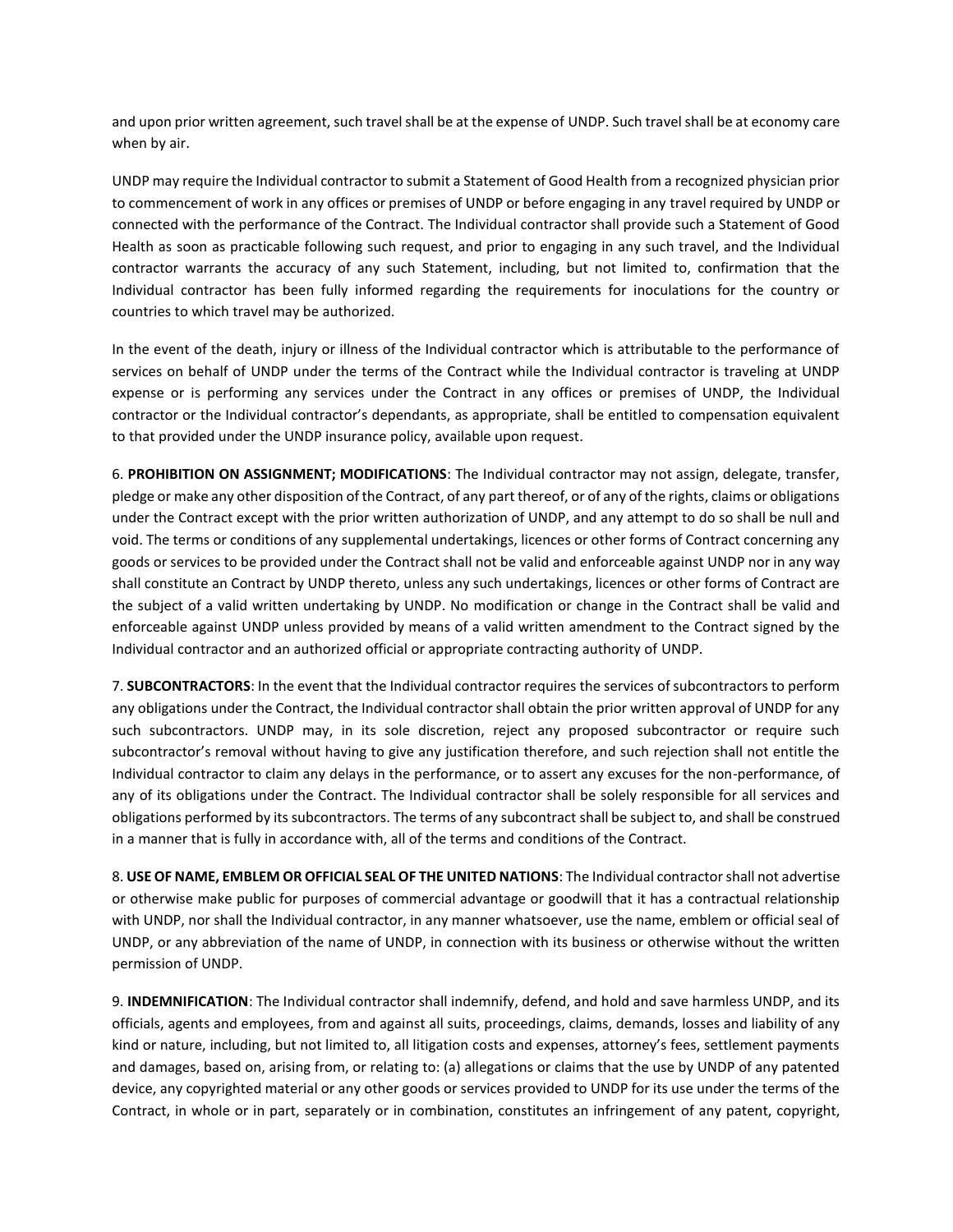and upon prior written agreement, such travel shall be at the expense of UNDP. Such travel shall be at economy care when by air.

UNDP may require the Individual contractor to submit a Statement of Good Health from a recognized physician prior to commencement of work in any offices or premises of UNDP or before engaging in any travel required by UNDP or connected with the performance of the Contract. The Individual contractor shall provide such a Statement of Good Health as soon as practicable following such request, and prior to engaging in any such travel, and the Individual contractor warrants the accuracy of any such Statement, including, but not limited to, confirmation that the Individual contractor has been fully informed regarding the requirements for inoculations for the country or countries to which travel may be authorized.

In the event of the death, injury or illness of the Individual contractor which is attributable to the performance of services on behalf of UNDP under the terms of the Contract while the Individual contractor is traveling at UNDP expense or is performing any services under the Contract in any offices or premises of UNDP, the Individual contractor or the Individual contractor's dependants, as appropriate, shall be entitled to compensation equivalent to that provided under the UNDP insurance policy, available upon request.

6. **PROHIBITION ON ASSIGNMENT; MODIFICATIONS**: The Individual contractor may not assign, delegate, transfer, pledge or make any other disposition of the Contract, of any part thereof, or of any of the rights, claims or obligations under the Contract except with the prior written authorization of UNDP, and any attempt to do so shall be null and void. The terms or conditions of any supplemental undertakings, licences or other forms of Contract concerning any goods or services to be provided under the Contract shall not be valid and enforceable against UNDP nor in any way shall constitute an Contract by UNDP thereto, unless any such undertakings, licences or other forms of Contract are the subject of a valid written undertaking by UNDP. No modification or change in the Contract shall be valid and enforceable against UNDP unless provided by means of a valid written amendment to the Contract signed by the Individual contractor and an authorized official or appropriate contracting authority of UNDP.

7. **SUBCONTRACTORS**: In the event that the Individual contractor requires the services of subcontractors to perform any obligations under the Contract, the Individual contractor shall obtain the prior written approval of UNDP for any such subcontractors. UNDP may, in its sole discretion, reject any proposed subcontractor or require such subcontractor's removal without having to give any justification therefore, and such rejection shall not entitle the Individual contractor to claim any delays in the performance, or to assert any excuses for the non-performance, of any of its obligations under the Contract. The Individual contractor shall be solely responsible for all services and obligations performed by its subcontractors. The terms of any subcontract shall be subject to, and shall be construed in a manner that is fully in accordance with, all of the terms and conditions of the Contract.

8. **USE OF NAME, EMBLEM OR OFFICIAL SEAL OF THE UNITED NATIONS**: The Individual contractor shall not advertise or otherwise make public for purposes of commercial advantage or goodwill that it has a contractual relationship with UNDP, nor shall the Individual contractor, in any manner whatsoever, use the name, emblem or official seal of UNDP, or any abbreviation of the name of UNDP, in connection with its business or otherwise without the written permission of UNDP.

9. **INDEMNIFICATION**: The Individual contractor shall indemnify, defend, and hold and save harmless UNDP, and its officials, agents and employees, from and against all suits, proceedings, claims, demands, losses and liability of any kind or nature, including, but not limited to, all litigation costs and expenses, attorney's fees, settlement payments and damages, based on, arising from, or relating to: (a) allegations or claims that the use by UNDP of any patented device, any copyrighted material or any other goods or services provided to UNDP for its use under the terms of the Contract, in whole or in part, separately or in combination, constitutes an infringement of any patent, copyright,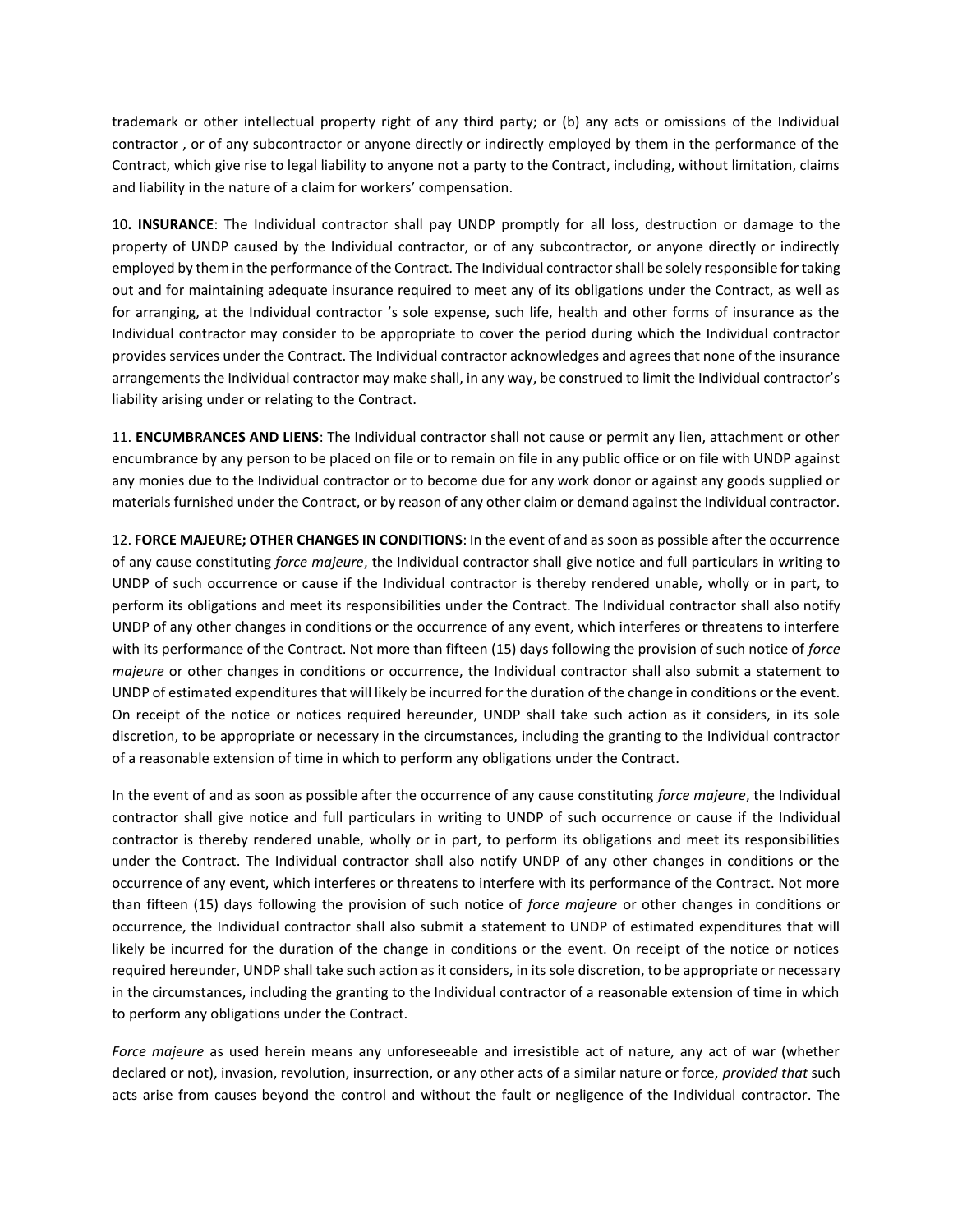trademark or other intellectual property right of any third party; or (b) any acts or omissions of the Individual contractor , or of any subcontractor or anyone directly or indirectly employed by them in the performance of the Contract, which give rise to legal liability to anyone not a party to the Contract, including, without limitation, claims and liability in the nature of a claim for workers' compensation.

10**. INSURANCE**: The Individual contractor shall pay UNDP promptly for all loss, destruction or damage to the property of UNDP caused by the Individual contractor, or of any subcontractor, or anyone directly or indirectly employed by them in the performance of the Contract. The Individual contractor shall be solely responsible for taking out and for maintaining adequate insurance required to meet any of its obligations under the Contract, as well as for arranging, at the Individual contractor 's sole expense, such life, health and other forms of insurance as the Individual contractor may consider to be appropriate to cover the period during which the Individual contractor provides services under the Contract. The Individual contractor acknowledges and agrees that none of the insurance arrangements the Individual contractor may make shall, in any way, be construed to limit the Individual contractor's liability arising under or relating to the Contract.

11. **ENCUMBRANCES AND LIENS**: The Individual contractor shall not cause or permit any lien, attachment or other encumbrance by any person to be placed on file or to remain on file in any public office or on file with UNDP against any monies due to the Individual contractor or to become due for any work donor or against any goods supplied or materials furnished under the Contract, or by reason of any other claim or demand against the Individual contractor.

12. **FORCE MAJEURE; OTHER CHANGES IN CONDITIONS**: In the event of and as soon as possible after the occurrence of any cause constituting *force majeure*, the Individual contractor shall give notice and full particulars in writing to UNDP of such occurrence or cause if the Individual contractor is thereby rendered unable, wholly or in part, to perform its obligations and meet its responsibilities under the Contract. The Individual contractor shall also notify UNDP of any other changes in conditions or the occurrence of any event, which interferes or threatens to interfere with its performance of the Contract. Not more than fifteen (15) days following the provision of such notice of *force majeure* or other changes in conditions or occurrence, the Individual contractor shall also submit a statement to UNDP of estimated expenditures that will likely be incurred for the duration of the change in conditions or the event. On receipt of the notice or notices required hereunder, UNDP shall take such action as it considers, in its sole discretion, to be appropriate or necessary in the circumstances, including the granting to the Individual contractor of a reasonable extension of time in which to perform any obligations under the Contract.

In the event of and as soon as possible after the occurrence of any cause constituting *force majeure*, the Individual contractor shall give notice and full particulars in writing to UNDP of such occurrence or cause if the Individual contractor is thereby rendered unable, wholly or in part, to perform its obligations and meet its responsibilities under the Contract. The Individual contractor shall also notify UNDP of any other changes in conditions or the occurrence of any event, which interferes or threatens to interfere with its performance of the Contract. Not more than fifteen (15) days following the provision of such notice of *force majeure* or other changes in conditions or occurrence, the Individual contractor shall also submit a statement to UNDP of estimated expenditures that will likely be incurred for the duration of the change in conditions or the event. On receipt of the notice or notices required hereunder, UNDP shall take such action as it considers, in its sole discretion, to be appropriate or necessary in the circumstances, including the granting to the Individual contractor of a reasonable extension of time in which to perform any obligations under the Contract.

*Force majeure* as used herein means any unforeseeable and irresistible act of nature, any act of war (whether declared or not), invasion, revolution, insurrection, or any other acts of a similar nature or force, *provided that* such acts arise from causes beyond the control and without the fault or negligence of the Individual contractor. The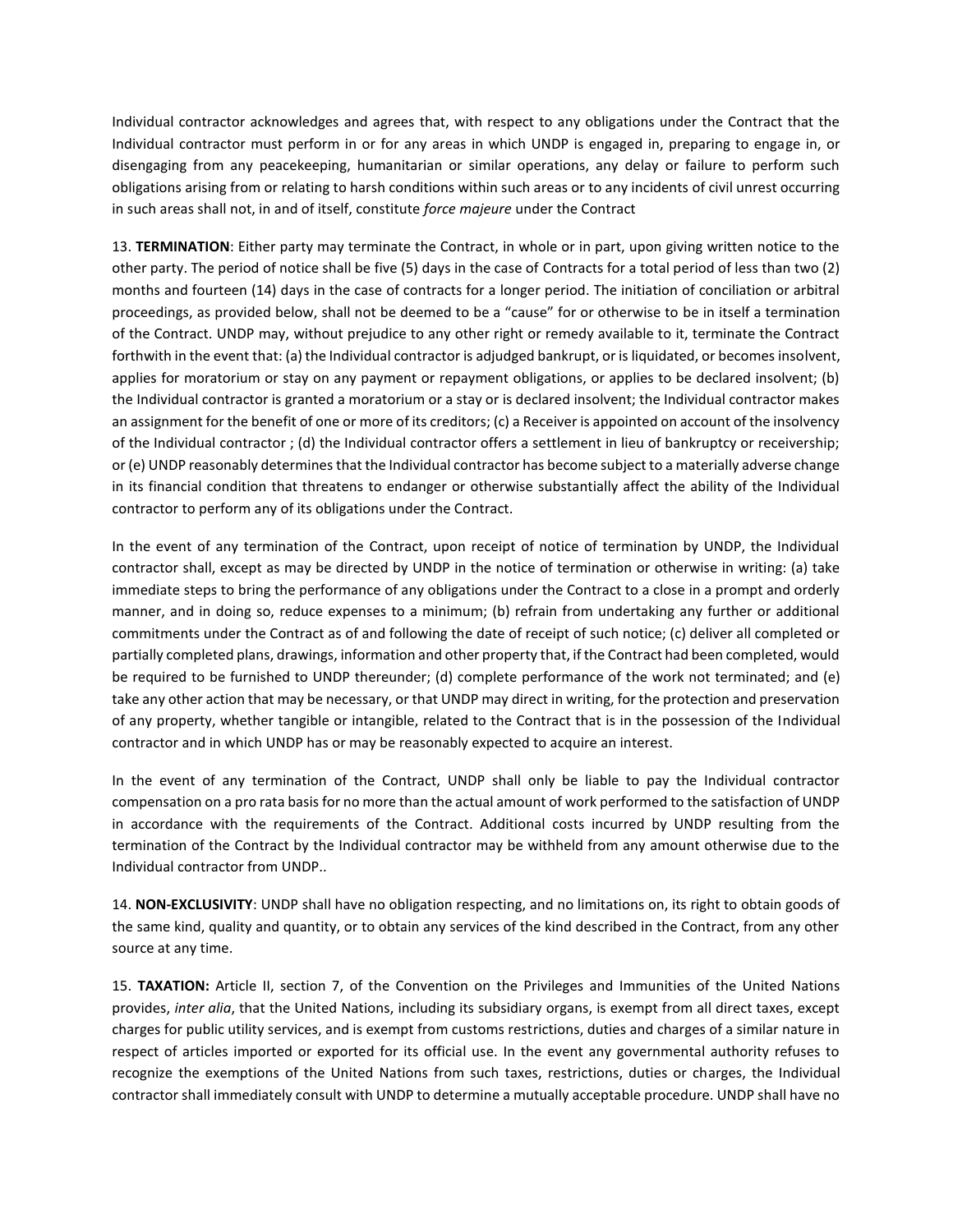Individual contractor acknowledges and agrees that, with respect to any obligations under the Contract that the Individual contractor must perform in or for any areas in which UNDP is engaged in, preparing to engage in, or disengaging from any peacekeeping, humanitarian or similar operations, any delay or failure to perform such obligations arising from or relating to harsh conditions within such areas or to any incidents of civil unrest occurring in such areas shall not, in and of itself, constitute *force majeure* under the Contract

13. **TERMINATION**: Either party may terminate the Contract, in whole or in part, upon giving written notice to the other party. The period of notice shall be five (5) days in the case of Contracts for a total period of less than two (2) months and fourteen (14) days in the case of contracts for a longer period. The initiation of conciliation or arbitral proceedings, as provided below, shall not be deemed to be a "cause" for or otherwise to be in itself a termination of the Contract. UNDP may, without prejudice to any other right or remedy available to it, terminate the Contract forthwith in the event that: (a) the Individual contractor is adjudged bankrupt, or is liquidated, or becomes insolvent, applies for moratorium or stay on any payment or repayment obligations, or applies to be declared insolvent; (b) the Individual contractor is granted a moratorium or a stay or is declared insolvent; the Individual contractor makes an assignment for the benefit of one or more of its creditors; (c) a Receiver is appointed on account of the insolvency of the Individual contractor ; (d) the Individual contractor offers a settlement in lieu of bankruptcy or receivership; or (e) UNDP reasonably determines that the Individual contractor has become subject to a materially adverse change in its financial condition that threatens to endanger or otherwise substantially affect the ability of the Individual contractor to perform any of its obligations under the Contract.

In the event of any termination of the Contract, upon receipt of notice of termination by UNDP, the Individual contractor shall, except as may be directed by UNDP in the notice of termination or otherwise in writing: (a) take immediate steps to bring the performance of any obligations under the Contract to a close in a prompt and orderly manner, and in doing so, reduce expenses to a minimum; (b) refrain from undertaking any further or additional commitments under the Contract as of and following the date of receipt of such notice; (c) deliver all completed or partially completed plans, drawings, information and other property that, if the Contract had been completed, would be required to be furnished to UNDP thereunder; (d) complete performance of the work not terminated; and (e) take any other action that may be necessary, or that UNDP may direct in writing, for the protection and preservation of any property, whether tangible or intangible, related to the Contract that is in the possession of the Individual contractor and in which UNDP has or may be reasonably expected to acquire an interest.

In the event of any termination of the Contract, UNDP shall only be liable to pay the Individual contractor compensation on a pro rata basis for no more than the actual amount of work performed to the satisfaction of UNDP in accordance with the requirements of the Contract. Additional costs incurred by UNDP resulting from the termination of the Contract by the Individual contractor may be withheld from any amount otherwise due to the Individual contractor from UNDP..

14. **NON-EXCLUSIVITY**: UNDP shall have no obligation respecting, and no limitations on, its right to obtain goods of the same kind, quality and quantity, or to obtain any services of the kind described in the Contract, from any other source at any time.

15. **TAXATION:** Article II, section 7, of the Convention on the Privileges and Immunities of the United Nations provides, *inter alia*, that the United Nations, including its subsidiary organs, is exempt from all direct taxes, except charges for public utility services, and is exempt from customs restrictions, duties and charges of a similar nature in respect of articles imported or exported for its official use. In the event any governmental authority refuses to recognize the exemptions of the United Nations from such taxes, restrictions, duties or charges, the Individual contractor shall immediately consult with UNDP to determine a mutually acceptable procedure. UNDP shall have no